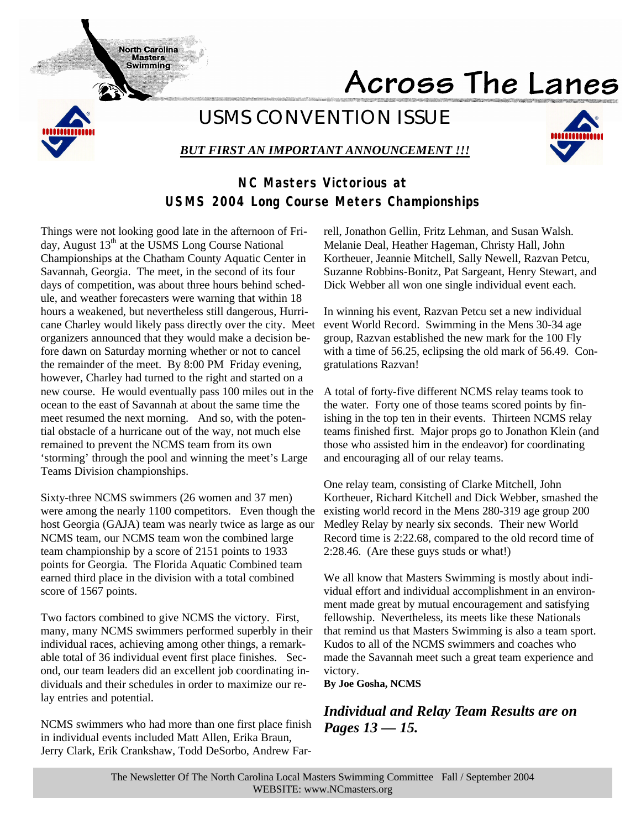Across The Lanes



# *USMS CONVENTION ISSUE*

# *BUT FIRST AN IMPORTANT ANNOUNCEMENT !!!*



# **NC Masters Victorious at USMS 2004 Long Course Meters Championships**

Things were not looking good late in the afternoon of Friday, August  $13<sup>th</sup>$  at the USMS Long Course National Championships at the Chatham County Aquatic Center in Savannah, Georgia. The meet, in the second of its four days of competition, was about three hours behind schedule, and weather forecasters were warning that within 18 hours a weakened, but nevertheless still dangerous, Hurricane Charley would likely pass directly over the city. Meet organizers announced that they would make a decision before dawn on Saturday morning whether or not to cancel the remainder of the meet. By 8:00 PM Friday evening, however, Charley had turned to the right and started on a new course. He would eventually pass 100 miles out in the ocean to the east of Savannah at about the same time the meet resumed the next morning. And so, with the potential obstacle of a hurricane out of the way, not much else remained to prevent the NCMS team from its own 'storming' through the pool and winning the meet's Large Teams Division championships.

North Carolina **Masters: Swimming** 

Sixty-three NCMS swimmers (26 women and 37 men) were among the nearly 1100 competitors. Even though the host Georgia (GAJA) team was nearly twice as large as our NCMS team, our NCMS team won the combined large team championship by a score of 2151 points to 1933 points for Georgia. The Florida Aquatic Combined team earned third place in the division with a total combined score of 1567 points.

Two factors combined to give NCMS the victory. First, many, many NCMS swimmers performed superbly in their individual races, achieving among other things, a remarkable total of 36 individual event first place finishes. Second, our team leaders did an excellent job coordinating individuals and their schedules in order to maximize our relay entries and potential.

NCMS swimmers who had more than one first place finish in individual events included Matt Allen, Erika Braun, Jerry Clark, Erik Crankshaw, Todd DeSorbo, Andrew Farrell, Jonathon Gellin, Fritz Lehman, and Susan Walsh. Melanie Deal, Heather Hageman, Christy Hall, John Kortheuer, Jeannie Mitchell, Sally Newell, Razvan Petcu, Suzanne Robbins-Bonitz, Pat Sargeant, Henry Stewart, and Dick Webber all won one single individual event each.

In winning his event, Razvan Petcu set a new individual event World Record. Swimming in the Mens 30-34 age group, Razvan established the new mark for the 100 Fly with a time of 56.25, eclipsing the old mark of 56.49. Congratulations Razvan!

A total of forty-five different NCMS relay teams took to the water. Forty one of those teams scored points by finishing in the top ten in their events. Thirteen NCMS relay teams finished first. Major props go to Jonathon Klein (and those who assisted him in the endeavor) for coordinating and encouraging all of our relay teams.

One relay team, consisting of Clarke Mitchell, John Kortheuer, Richard Kitchell and Dick Webber, smashed the existing world record in the Mens 280-319 age group 200 Medley Relay by nearly six seconds. Their new World Record time is 2:22.68, compared to the old record time of 2:28.46. (Are these guys studs or what!)

We all know that Masters Swimming is mostly about individual effort and individual accomplishment in an environment made great by mutual encouragement and satisfying fellowship. Nevertheless, its meets like these Nationals that remind us that Masters Swimming is also a team sport. Kudos to all of the NCMS swimmers and coaches who made the Savannah meet such a great team experience and victory.

**By Joe Gosha, NCMS**

# *Individual and Relay Team Results are on Pages 13 — 15.*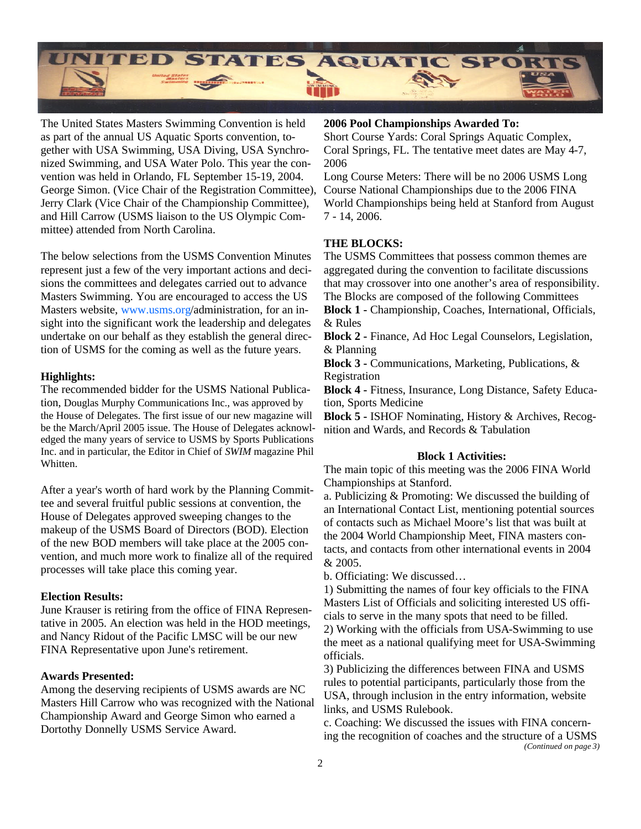

The United States Masters Swimming Convention is held as part of the annual US Aquatic Sports convention, together with USA Swimming, USA Diving, USA Synchronized Swimming, and USA Water Polo. This year the convention was held in Orlando, FL September 15-19, 2004. George Simon. (Vice Chair of the Registration Committee), Jerry Clark (Vice Chair of the Championship Committee), and Hill Carrow (USMS liaison to the US Olympic Committee) attended from North Carolina.

The below selections from the USMS Convention Minutes represent just a few of the very important actions and decisions the committees and delegates carried out to advance Masters Swimming. You are encouraged to access the US Masters website, www.usms.org/administration, for an insight into the significant work the leadership and delegates undertake on our behalf as they establish the general direction of USMS for the coming as well as the future years.

## **Highlights:**

The recommended bidder for the USMS National Publication, Douglas Murphy Communications Inc., was approved by the House of Delegates. The first issue of our new magazine will be the March/April 2005 issue. The House of Delegates acknowledged the many years of service to USMS by Sports Publications Inc. and in particular, the Editor in Chief of *SWIM* magazine Phil Whitten.

After a year's worth of hard work by the Planning Committee and several fruitful public sessions at convention, the House of Delegates approved sweeping changes to the makeup of the USMS Board of Directors (BOD). Election of the new BOD members will take place at the 2005 convention, and much more work to finalize all of the required processes will take place this coming year.

# **Election Results:**

June Krauser is retiring from the office of FINA Representative in 2005. An election was held in the HOD meetings, and Nancy Ridout of the Pacific LMSC will be our new FINA Representative upon June's retirement.

# **Awards Presented:**

Among the deserving recipients of USMS awards are NC Masters Hill Carrow who was recognized with the National Championship Award and George Simon who earned a Dortothy Donnelly USMS Service Award.

## **2006 Pool Championships Awarded To:**

Short Course Yards: Coral Springs Aquatic Complex, Coral Springs, FL. The tentative meet dates are May 4-7, 2006

Long Course Meters: There will be no 2006 USMS Long Course National Championships due to the 2006 FINA World Championships being held at Stanford from August 7 - 14, 2006.

## **THE BLOCKS:**

The USMS Committees that possess common themes are aggregated during the convention to facilitate discussions that may crossover into one another's area of responsibility. The Blocks are composed of the following Committees

**Block 1 -** Championship, Coaches, International, Officials, & Rules

**Block 2 -** Finance, Ad Hoc Legal Counselors, Legislation, & Planning

**Block 3 -** Communications, Marketing, Publications, & Registration

**Block 4 -** Fitness, Insurance, Long Distance, Safety Education, Sports Medicine

**Block 5 -** ISHOF Nominating, History & Archives, Recognition and Wards, and Records & Tabulation

### **Block 1 Activities:**

The main topic of this meeting was the 2006 FINA World Championships at Stanford.

a. Publicizing & Promoting: We discussed the building of an International Contact List, mentioning potential sources of contacts such as Michael Moore's list that was built at the 2004 World Championship Meet, FINA masters contacts, and contacts from other international events in 2004 & 2005.

b. Officiating: We discussed…

1) Submitting the names of four key officials to the FINA Masters List of Officials and soliciting interested US officials to serve in the many spots that need to be filled.

2) Working with the officials from USA-Swimming to use the meet as a national qualifying meet for USA-Swimming officials.

3) Publicizing the differences between FINA and USMS rules to potential participants, particularly those from the USA, through inclusion in the entry information, website links, and USMS Rulebook.

c. Coaching: We discussed the issues with FINA concerning the recognition of coaches and the structure of a USMS *(Continued on page 3)*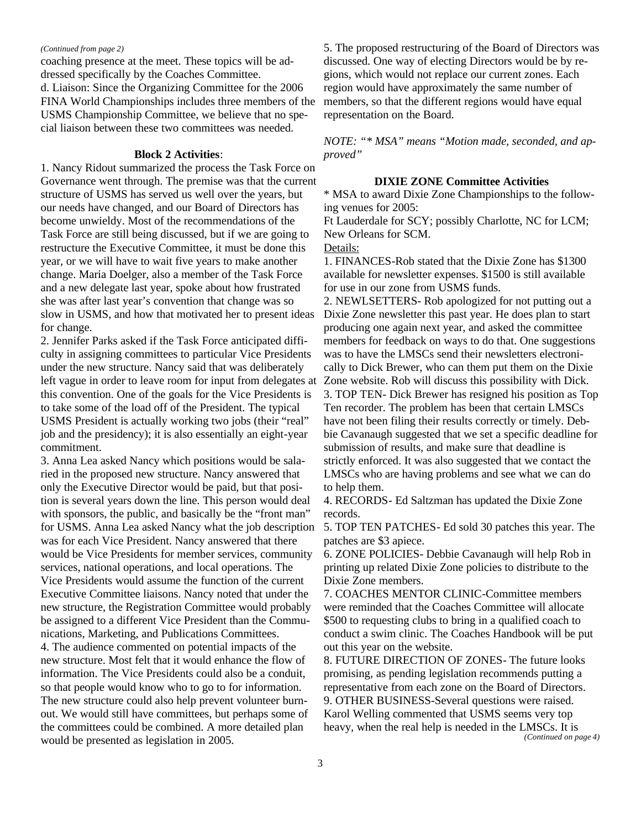#### *(Continued from page 2)*

coaching presence at the meet. These topics will be addressed specifically by the Coaches Committee. d. Liaison: Since the Organizing Committee for the 2006 FINA World Championships includes three members of the USMS Championship Committee, we believe that no special liaison between these two committees was needed.

#### **Block 2 Activities**:

1. Nancy Ridout summarized the process the Task Force on Governance went through. The premise was that the current structure of USMS has served us well over the years, but our needs have changed, and our Board of Directors has become unwieldy. Most of the recommendations of the Task Force are still being discussed, but if we are going to restructure the Executive Committee, it must be done this year, or we will have to wait five years to make another change. Maria Doelger, also a member of the Task Force and a new delegate last year, spoke about how frustrated she was after last year's convention that change was so slow in USMS, and how that motivated her to present ideas for change.

2. Jennifer Parks asked if the Task Force anticipated difficulty in assigning committees to particular Vice Presidents under the new structure. Nancy said that was deliberately left vague in order to leave room for input from delegates at this convention. One of the goals for the Vice Presidents is to take some of the load off of the President. The typical USMS President is actually working two jobs (their "real" job and the presidency); it is also essentially an eight-year commitment.

3. Anna Lea asked Nancy which positions would be salaried in the proposed new structure. Nancy answered that only the Executive Director would be paid, but that position is several years down the line. This person would deal with sponsors, the public, and basically be the "front man" for USMS. Anna Lea asked Nancy what the job description was for each Vice President. Nancy answered that there would be Vice Presidents for member services, community services, national operations, and local operations. The Vice Presidents would assume the function of the current Executive Committee liaisons. Nancy noted that under the new structure, the Registration Committee would probably be assigned to a different Vice President than the Communications, Marketing, and Publications Committees. 4. The audience commented on potential impacts of the new structure. Most felt that it would enhance the flow of information. The Vice Presidents could also be a conduit, so that people would know who to go to for information. The new structure could also help prevent volunteer burnout. We would still have committees, but perhaps some of the committees could be combined. A more detailed plan would be presented as legislation in 2005.

5. The proposed restructuring of the Board of Directors was discussed. One way of electing Directors would be by regions, which would not replace our current zones. Each region would have approximately the same number of members, so that the different regions would have equal representation on the Board.

*NOTE: "\* MSA" means "Motion made, seconded, and approved"*

#### **DIXIE ZONE Committee Activities**

\* MSA to award Dixie Zone Championships to the following venues for 2005:

Ft Lauderdale for SCY; possibly Charlotte, NC for LCM; New Orleans for SCM.

Details:

1. FINANCES-Rob stated that the Dixie Zone has \$1300 available for newsletter expenses. \$1500 is still available for use in our zone from USMS funds.

2. NEWLSETTERS- Rob apologized for not putting out a Dixie Zone newsletter this past year. He does plan to start producing one again next year, and asked the committee members for feedback on ways to do that. One suggestions was to have the LMSCs send their newsletters electronically to Dick Brewer, who can them put them on the Dixie Zone website. Rob will discuss this possibility with Dick. 3. TOP TEN- Dick Brewer has resigned his position as Top Ten recorder. The problem has been that certain LMSCs have not been filing their results correctly or timely. Debbie Cavanaugh suggested that we set a specific deadline for submission of results, and make sure that deadline is strictly enforced. It was also suggested that we contact the LMSCs who are having problems and see what we can do to help them.

4. RECORDS- Ed Saltzman has updated the Dixie Zone records.

5. TOP TEN PATCHES- Ed sold 30 patches this year. The patches are \$3 apiece.

6. ZONE POLICIES- Debbie Cavanaugh will help Rob in printing up related Dixie Zone policies to distribute to the Dixie Zone members.

7. COACHES MENTOR CLINIC-Committee members were reminded that the Coaches Committee will allocate \$500 to requesting clubs to bring in a qualified coach to conduct a swim clinic. The Coaches Handbook will be put out this year on the website.

8. FUTURE DIRECTION OF ZONES- The future looks promising, as pending legislation recommends putting a representative from each zone on the Board of Directors. 9. OTHER BUSINESS-Several questions were raised. Karol Welling commented that USMS seems very top heavy, when the real help is needed in the LMSCs. It is *(Continued on page 4)*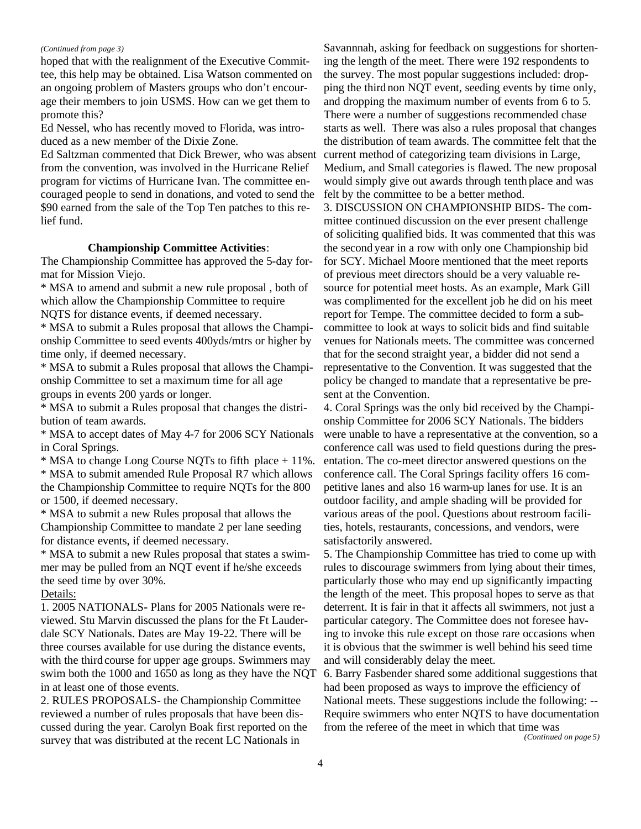#### *(Continued from page 3)*

hoped that with the realignment of the Executive Committee, this help may be obtained. Lisa Watson commented on an ongoing problem of Masters groups who don't encourage their members to join USMS. How can we get them to promote this?

Ed Nessel, who has recently moved to Florida, was introduced as a new member of the Dixie Zone.

Ed Saltzman commented that Dick Brewer, who was absent from the convention, was involved in the Hurricane Relief program for victims of Hurricane Ivan. The committee encouraged people to send in donations, and voted to send the \$90 earned from the sale of the Top Ten patches to this relief fund.

#### **Championship Committee Activities**:

The Championship Committee has approved the 5-day format for Mission Viejo.

\* MSA to amend and submit a new rule proposal , both of which allow the Championship Committee to require NQTS for distance events, if deemed necessary.

\* MSA to submit a Rules proposal that allows the Championship Committee to seed events 400yds/mtrs or higher by time only, if deemed necessary.

\* MSA to submit a Rules proposal that allows the Championship Committee to set a maximum time for all age groups in events 200 yards or longer.

\* MSA to submit a Rules proposal that changes the distribution of team awards.

\* MSA to accept dates of May 4-7 for 2006 SCY Nationals in Coral Springs.

\* MSA to change Long Course NQTs to fifth place + 11%. \* MSA to submit amended Rule Proposal R7 which allows the Championship Committee to require NQTs for the 800 or 1500, if deemed necessary.

\* MSA to submit a new Rules proposal that allows the Championship Committee to mandate 2 per lane seeding for distance events, if deemed necessary.

\* MSA to submit a new Rules proposal that states a swimmer may be pulled from an NQT event if he/she exceeds the seed time by over 30%.

#### Details:

1. 2005 NATIONALS**-** Plans for 2005 Nationals were reviewed. Stu Marvin discussed the plans for the Ft Lauderdale SCY Nationals. Dates are May 19-22. There will be three courses available for use during the distance events, with the third course for upper age groups. Swimmers may swim both the 1000 and 1650 as long as they have the NQT in at least one of those events.

2. RULES PROPOSALS- the Championship Committee reviewed a number of rules proposals that have been discussed during the year. Carolyn Boak first reported on the survey that was distributed at the recent LC Nationals in

Savannnah, asking for feedback on suggestions for shortening the length of the meet. There were 192 respondents to the survey. The most popular suggestions included: dropping the third non NQT event, seeding events by time only, and dropping the maximum number of events from 6 to 5. There were a number of suggestions recommended chase starts as well. There was also a rules proposal that changes the distribution of team awards. The committee felt that the current method of categorizing team divisions in Large, Medium, and Small categories is flawed. The new proposal would simply give out awards through tenth place and was felt by the committee to be a better method.

3. DISCUSSION ON CHAMPIONSHIP BIDS- The committee continued discussion on the ever present challenge of soliciting qualified bids. It was commented that this was the second year in a row with only one Championship bid for SCY. Michael Moore mentioned that the meet reports of previous meet directors should be a very valuable resource for potential meet hosts. As an example, Mark Gill was complimented for the excellent job he did on his meet report for Tempe. The committee decided to form a subcommittee to look at ways to solicit bids and find suitable venues for Nationals meets. The committee was concerned that for the second straight year, a bidder did not send a representative to the Convention. It was suggested that the policy be changed to mandate that a representative be present at the Convention.

4. Coral Springs was the only bid received by the Championship Committee for 2006 SCY Nationals. The bidders were unable to have a representative at the convention, so a conference call was used to field questions during the presentation. The co-meet director answered questions on the conference call. The Coral Springs facility offers 16 competitive lanes and also 16 warm-up lanes for use. It is an outdoor facility, and ample shading will be provided for various areas of the pool. Questions about restroom facilities, hotels, restaurants, concessions, and vendors, were satisfactorily answered.

5. The Championship Committee has tried to come up with rules to discourage swimmers from lying about their times, particularly those who may end up significantly impacting the length of the meet. This proposal hopes to serve as that deterrent. It is fair in that it affects all swimmers, not just a particular category. The Committee does not foresee having to invoke this rule except on those rare occasions when it is obvious that the swimmer is well behind his seed time and will considerably delay the meet.

6. Barry Fasbender shared some additional suggestions that had been proposed as ways to improve the efficiency of National meets. These suggestions include the following: -- Require swimmers who enter NQTS to have documentation from the referee of the meet in which that time was

*(Continued on page 5)*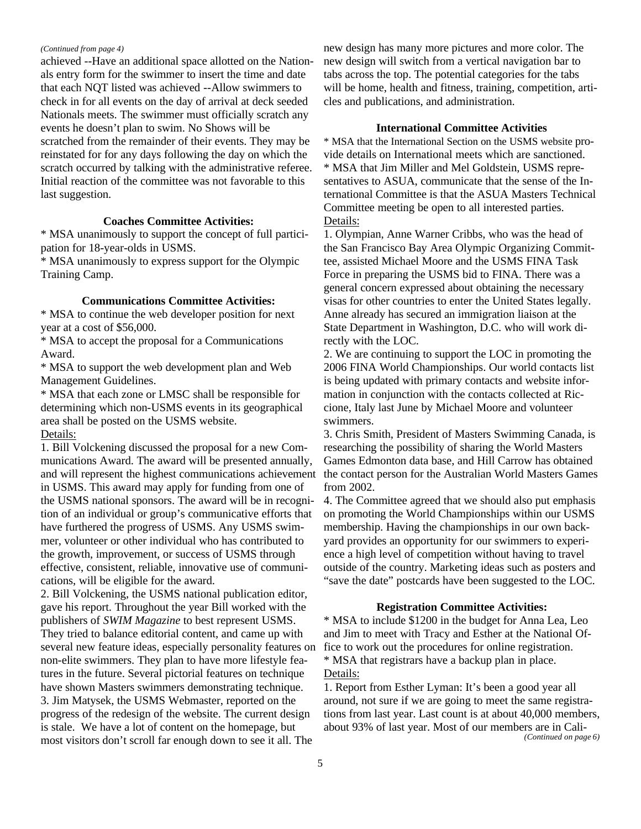#### *(Continued from page 4)*

achieved --Have an additional space allotted on the Nationals entry form for the swimmer to insert the time and date that each NQT listed was achieved --Allow swimmers to check in for all events on the day of arrival at deck seeded Nationals meets. The swimmer must officially scratch any events he doesn't plan to swim. No Shows will be scratched from the remainder of their events. They may be reinstated for for any days following the day on which the scratch occurred by talking with the administrative referee. Initial reaction of the committee was not favorable to this last suggestion.

#### **Coaches Committee Activities:**

\* MSA unanimously to support the concept of full participation for 18-year-olds in USMS.

\* MSA unanimously to express support for the Olympic Training Camp.

#### **Communications Committee Activities:**

\* MSA to continue the web developer position for next year at a cost of \$56,000.

\* MSA to accept the proposal for a Communications Award.

\* MSA to support the web development plan and Web Management Guidelines.

\* MSA that each zone or LMSC shall be responsible for determining which non-USMS events in its geographical area shall be posted on the USMS website. Details:

1. Bill Volckening discussed the proposal for a new Communications Award. The award will be presented annually, and will represent the highest communications achievement in USMS. This award may apply for funding from one of the USMS national sponsors. The award will be in recognition of an individual or group's communicative efforts that have furthered the progress of USMS. Any USMS swimmer, volunteer or other individual who has contributed to the growth, improvement, or success of USMS through effective, consistent, reliable, innovative use of communications, will be eligible for the award.

2. Bill Volckening, the USMS national publication editor, gave his report. Throughout the year Bill worked with the publishers of *SWIM Magazine* to best represent USMS. They tried to balance editorial content, and came up with several new feature ideas, especially personality features on non-elite swimmers. They plan to have more lifestyle features in the future. Several pictorial features on technique have shown Masters swimmers demonstrating technique. 3. Jim Matysek, the USMS Webmaster, reported on the progress of the redesign of the website. The current design is stale. We have a lot of content on the homepage, but most visitors don't scroll far enough down to see it all. The

new design has many more pictures and more color. The new design will switch from a vertical navigation bar to tabs across the top. The potential categories for the tabs will be home, health and fitness, training, competition, articles and publications, and administration.

#### **International Committee Activities**

\* MSA that the International Section on the USMS website provide details on International meets which are sanctioned. \* MSA that Jim Miller and Mel Goldstein, USMS representatives to ASUA, communicate that the sense of the International Committee is that the ASUA Masters Technical Committee meeting be open to all interested parties. Details:

1. Olympian, Anne Warner Cribbs, who was the head of the San Francisco Bay Area Olympic Organizing Committee, assisted Michael Moore and the USMS FINA Task Force in preparing the USMS bid to FINA. There was a general concern expressed about obtaining the necessary visas for other countries to enter the United States legally. Anne already has secured an immigration liaison at the State Department in Washington, D.C. who will work directly with the LOC.

2. We are continuing to support the LOC in promoting the 2006 FINA World Championships. Our world contacts list is being updated with primary contacts and website information in conjunction with the contacts collected at Riccione, Italy last June by Michael Moore and volunteer swimmers.

3. Chris Smith, President of Masters Swimming Canada, is researching the possibility of sharing the World Masters Games Edmonton data base, and Hill Carrow has obtained the contact person for the Australian World Masters Games from 2002.

4. The Committee agreed that we should also put emphasis on promoting the World Championships within our USMS membership. Having the championships in our own backyard provides an opportunity for our swimmers to experience a high level of competition without having to travel outside of the country. Marketing ideas such as posters and "save the date" postcards have been suggested to the LOC.

#### **Registration Committee Activities:**

\* MSA to include \$1200 in the budget for Anna Lea, Leo and Jim to meet with Tracy and Esther at the National Office to work out the procedures for online registration. \* MSA that registrars have a backup plan in place. Details:

1. Report from Esther Lyman: It's been a good year all around, not sure if we are going to meet the same registrations from last year. Last count is at about 40,000 members, about 93% of last year. Most of our members are in Cali- *(Continued on page 6)*

5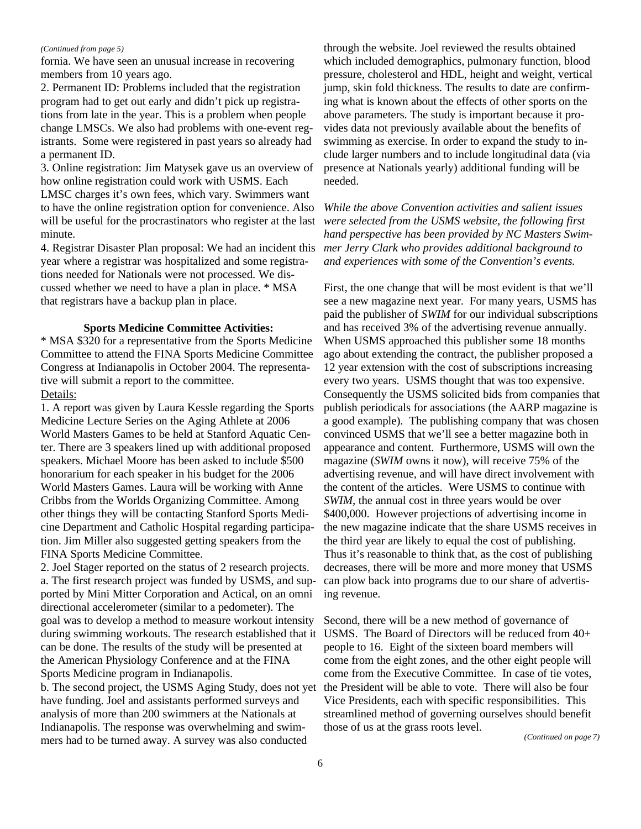#### *(Continued from page 5)*

fornia. We have seen an unusual increase in recovering members from 10 years ago.

2. Permanent ID: Problems included that the registration program had to get out early and didn't pick up registrations from late in the year. This is a problem when people change LMSCs. We also had problems with one-event registrants. Some were registered in past years so already had a permanent ID.

3. Online registration: Jim Matysek gave us an overview of how online registration could work with USMS. Each LMSC charges it's own fees, which vary. Swimmers want to have the online registration option for convenience. Also will be useful for the procrastinators who register at the last minute.

4. Registrar Disaster Plan proposal: We had an incident this year where a registrar was hospitalized and some registrations needed for Nationals were not processed. We discussed whether we need to have a plan in place. \* MSA that registrars have a backup plan in place.

### **Sports Medicine Committee Activities:**

\* MSA \$320 for a representative from the Sports Medicine Committee to attend the FINA Sports Medicine Committee Congress at Indianapolis in October 2004. The representative will submit a report to the committee.

## Details:

1. A report was given by Laura Kessle regarding the Sports Medicine Lecture Series on the Aging Athlete at 2006 World Masters Games to be held at Stanford Aquatic Center. There are 3 speakers lined up with additional proposed speakers. Michael Moore has been asked to include \$500 honorarium for each speaker in his budget for the 2006 World Masters Games. Laura will be working with Anne Cribbs from the Worlds Organizing Committee. Among other things they will be contacting Stanford Sports Medicine Department and Catholic Hospital regarding participation. Jim Miller also suggested getting speakers from the FINA Sports Medicine Committee.

2. Joel Stager reported on the status of 2 research projects. a. The first research project was funded by USMS, and supported by Mini Mitter Corporation and Actical, on an omni directional accelerometer (similar to a pedometer). The goal was to develop a method to measure workout intensity during swimming workouts. The research established that it can be done. The results of the study will be presented at the American Physiology Conference and at the FINA Sports Medicine program in Indianapolis.

b. The second project, the USMS Aging Study, does not yet have funding. Joel and assistants performed surveys and analysis of more than 200 swimmers at the Nationals at Indianapolis. The response was overwhelming and swimmers had to be turned away. A survey was also conducted

through the website. Joel reviewed the results obtained which included demographics, pulmonary function, blood pressure, cholesterol and HDL, height and weight, vertical jump, skin fold thickness. The results to date are confirming what is known about the effects of other sports on the above parameters. The study is important because it provides data not previously available about the benefits of swimming as exercise. In order to expand the study to include larger numbers and to include longitudinal data (via presence at Nationals yearly) additional funding will be needed.

*While the above Convention activities and salient issues were selected from the USMS website, the following first hand perspective has been provided by NC Masters Swimmer Jerry Clark who provides additional background to and experiences with some of the Convention's events.*

First, the one change that will be most evident is that we'll see a new magazine next year. For many years, USMS has paid the publisher of *SWIM* for our individual subscriptions and has received 3% of the advertising revenue annually. When USMS approached this publisher some 18 months ago about extending the contract, the publisher proposed a 12 year extension with the cost of subscriptions increasing every two years. USMS thought that was too expensive. Consequently the USMS solicited bids from companies that publish periodicals for associations (the AARP magazine is a good example). The publishing company that was chosen convinced USMS that we'll see a better magazine both in appearance and content. Furthermore, USMS will own the magazine (*SWIM* owns it now), will receive 75% of the advertising revenue, and will have direct involvement with the content of the articles. Were USMS to continue with *SWIM*, the annual cost in three years would be over \$400,000. However projections of advertising income in the new magazine indicate that the share USMS receives in the third year are likely to equal the cost of publishing. Thus it's reasonable to think that, as the cost of publishing decreases, there will be more and more money that USMS can plow back into programs due to our share of advertising revenue.

Second, there will be a new method of governance of USMS. The Board of Directors will be reduced from 40+ people to 16. Eight of the sixteen board members will come from the eight zones, and the other eight people will come from the Executive Committee. In case of tie votes, the President will be able to vote. There will also be four Vice Presidents, each with specific responsibilities. This streamlined method of governing ourselves should benefit those of us at the grass roots level.

*(Continued on page 7)*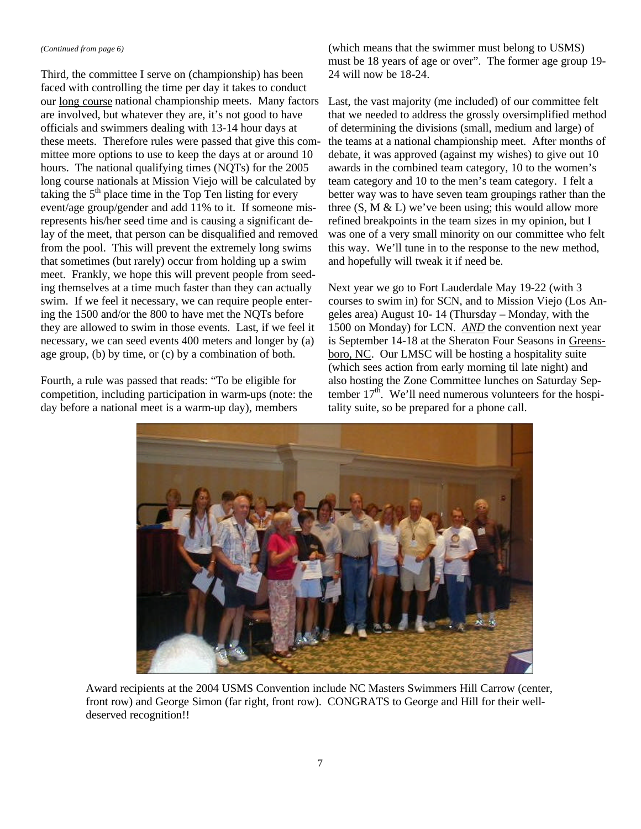#### *(Continued from page 6)*

Third, the committee I serve on (championship) has been faced with controlling the time per day it takes to conduct our long course national championship meets. Many factors Last, the vast majority (me included) of our committee felt are involved, but whatever they are, it's not good to have officials and swimmers dealing with 13-14 hour days at these meets. Therefore rules were passed that give this committee more options to use to keep the days at or around 10 hours. The national qualifying times (NQTs) for the 2005 long course nationals at Mission Viejo will be calculated by taking the  $5<sup>th</sup>$  place time in the Top Ten listing for every event/age group/gender and add 11% to it. If someone misrepresents his/her seed time and is causing a significant delay of the meet, that person can be disqualified and removed from the pool. This will prevent the extremely long swims that sometimes (but rarely) occur from holding up a swim meet. Frankly, we hope this will prevent people from seeding themselves at a time much faster than they can actually swim. If we feel it necessary, we can require people entering the 1500 and/or the 800 to have met the NQTs before they are allowed to swim in those events. Last, if we feel it necessary, we can seed events 400 meters and longer by (a) age group, (b) by time, or (c) by a combination of both.

Fourth, a rule was passed that reads: "To be eligible for competition, including participation in warm-ups (note: the day before a national meet is a warm-up day), members

(which means that the swimmer must belong to USMS) must be 18 years of age or over". The former age group 19- 24 will now be 18-24.

that we needed to address the grossly oversimplified method of determining the divisions (small, medium and large) of the teams at a national championship meet. After months of debate, it was approved (against my wishes) to give out 10 awards in the combined team category, 10 to the women's team category and 10 to the men's team category. I felt a better way was to have seven team groupings rather than the three  $(S, M & L)$  we've been using; this would allow more refined breakpoints in the team sizes in my opinion, but I was one of a very small minority on our committee who felt this way. We'll tune in to the response to the new method, and hopefully will tweak it if need be.

Next year we go to Fort Lauderdale May 19-22 (with 3 courses to swim in) for SCN, and to Mission Viejo (Los Angeles area) August 10- 14 (Thursday – Monday, with the 1500 on Monday) for LCN. *AND* the convention next year is September 14-18 at the Sheraton Four Seasons in Greensboro, NC. Our LMSC will be hosting a hospitality suite (which sees action from early morning til late night) and also hosting the Zone Committee lunches on Saturday September  $17<sup>th</sup>$ . We'll need numerous volunteers for the hospitality suite, so be prepared for a phone call.



Award recipients at the 2004 USMS Convention include NC Masters Swimmers Hill Carrow (center, front row) and George Simon (far right, front row). CONGRATS to George and Hill for their welldeserved recognition!!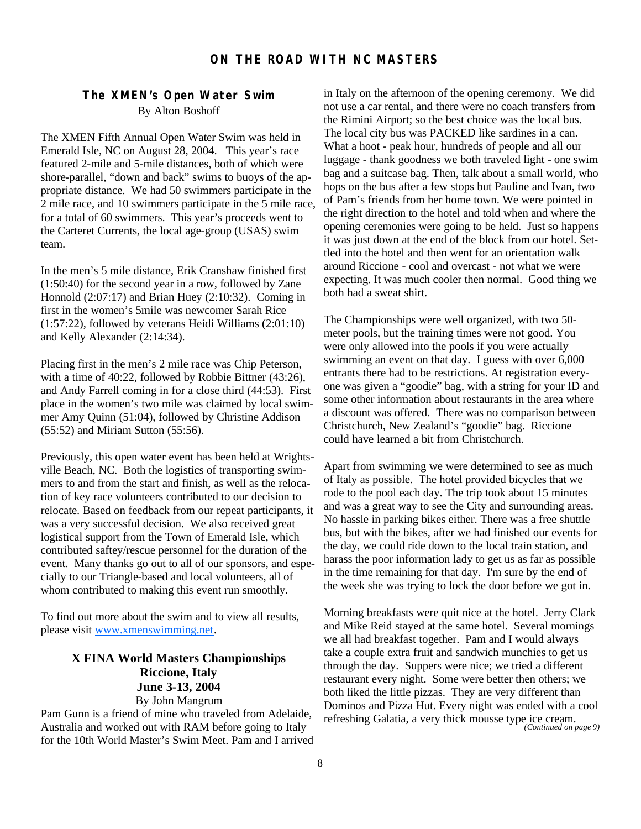# **The XMEN's Open Water Swim** By Alton Boshoff

The XMEN Fifth Annual Open Water Swim was held in Emerald Isle, NC on August 28, 2004. This year's race featured 2-mile and 5-mile distances, both of which were shore-parallel, "down and back" swims to buoys of the appropriate distance. We had 50 swimmers participate in the 2 mile race, and 10 swimmers participate in the 5 mile race, for a total of 60 swimmers. This year's proceeds went to the Carteret Currents, the local age-group (USAS) swim team.

In the men's 5 mile distance, Erik Cranshaw finished first (1:50:40) for the second year in a row, followed by Zane Honnold (2:07:17) and Brian Huey (2:10:32). Coming in first in the women's 5mile was newcomer Sarah Rice (1:57:22), followed by veterans Heidi Williams (2:01:10) and Kelly Alexander (2:14:34).

Placing first in the men's 2 mile race was Chip Peterson, with a time of 40:22, followed by Robbie Bittner (43:26), and Andy Farrell coming in for a close third (44:53). First place in the women's two mile was claimed by local swimmer Amy Quinn (51:04), followed by Christine Addison (55:52) and Miriam Sutton (55:56).

Previously, this open water event has been held at Wrightsville Beach, NC. Both the logistics of transporting swimmers to and from the start and finish, as well as the relocation of key race volunteers contributed to our decision to relocate. Based on feedback from our repeat participants, it was a very successful decision. We also received great logistical support from the Town of Emerald Isle, which contributed saftey/rescue personnel for the duration of the event. Many thanks go out to all of our sponsors, and especially to our Triangle-based and local volunteers, all of whom contributed to making this event run smoothly.

To find out more about the swim and to view all results, please visit www.xmenswimming.net.

# **X FINA World Masters Championships Riccione, Italy June 3-13, 2004** By John Mangrum

Pam Gunn is a friend of mine who traveled from Adelaide, Australia and worked out with RAM before going to Italy for the 10th World Master's Swim Meet. Pam and I arrived in Italy on the afternoon of the opening ceremony. We did not use a car rental, and there were no coach transfers from the Rimini Airport; so the best choice was the local bus. The local city bus was PACKED like sardines in a can. What a hoot - peak hour, hundreds of people and all our luggage - thank goodness we both traveled light - one swim bag and a suitcase bag. Then, talk about a small world, who hops on the bus after a few stops but Pauline and Ivan, two of Pam's friends from her home town. We were pointed in the right direction to the hotel and told when and where the opening ceremonies were going to be held. Just so happens it was just down at the end of the block from our hotel. Settled into the hotel and then went for an orientation walk around Riccione - cool and overcast - not what we were expecting. It was much cooler then normal. Good thing we both had a sweat shirt.

The Championships were well organized, with two 50 meter pools, but the training times were not good. You were only allowed into the pools if you were actually swimming an event on that day. I guess with over 6,000 entrants there had to be restrictions. At registration everyone was given a "goodie" bag, with a string for your ID and some other information about restaurants in the area where a discount was offered. There was no comparison between Christchurch, New Zealand's "goodie" bag. Riccione could have learned a bit from Christchurch.

Apart from swimming we were determined to see as much of Italy as possible. The hotel provided bicycles that we rode to the pool each day. The trip took about 15 minutes and was a great way to see the City and surrounding areas. No hassle in parking bikes either. There was a free shuttle bus, but with the bikes, after we had finished our events for the day, we could ride down to the local train station, and harass the poor information lady to get us as far as possible in the time remaining for that day. I'm sure by the end of the week she was trying to lock the door before we got in.

Morning breakfasts were quit nice at the hotel. Jerry Clark and Mike Reid stayed at the same hotel. Several mornings we all had breakfast together. Pam and I would always take a couple extra fruit and sandwich munchies to get us through the day. Suppers were nice; we tried a different restaurant every night. Some were better then others; we both liked the little pizzas. They are very different than Dominos and Pizza Hut. Every night was ended with a cool refreshing Galatia, a very thick mousse type ice cream. *(Continued on page 9)*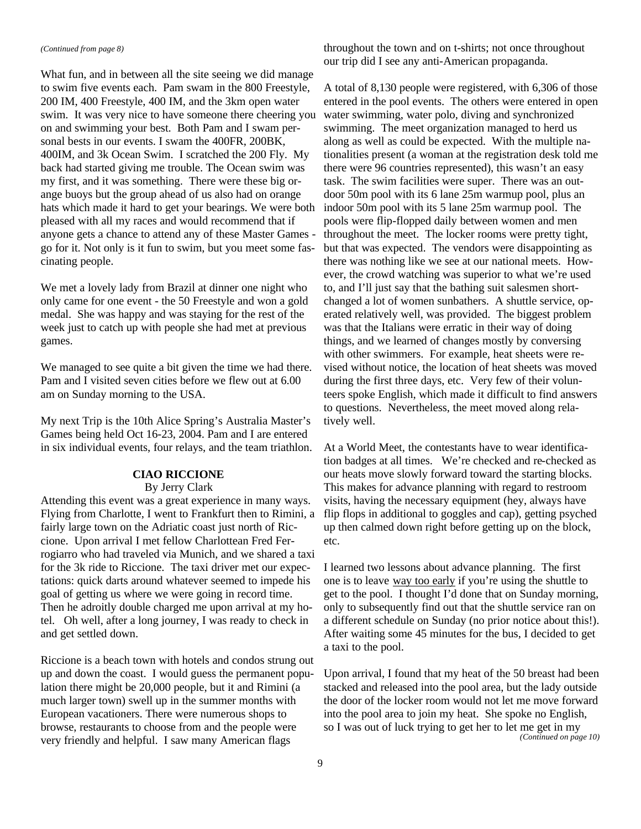#### *(Continued from page 8)*

What fun, and in between all the site seeing we did manage to swim five events each. Pam swam in the 800 Freestyle, 200 IM, 400 Freestyle, 400 IM, and the 3km open water swim. It was very nice to have someone there cheering you on and swimming your best. Both Pam and I swam personal bests in our events. I swam the 400FR, 200BK, 400IM, and 3k Ocean Swim. I scratched the 200 Fly. My back had started giving me trouble. The Ocean swim was my first, and it was something. There were these big orange buoys but the group ahead of us also had on orange hats which made it hard to get your bearings. We were both pleased with all my races and would recommend that if anyone gets a chance to attend any of these Master Games go for it. Not only is it fun to swim, but you meet some fascinating people.

We met a lovely lady from Brazil at dinner one night who only came for one event - the 50 Freestyle and won a gold medal. She was happy and was staying for the rest of the week just to catch up with people she had met at previous games.

We managed to see quite a bit given the time we had there. Pam and I visited seven cities before we flew out at 6.00 am on Sunday morning to the USA.

My next Trip is the 10th Alice Spring's Australia Master's Games being held Oct 16-23, 2004. Pam and I are entered in six individual events, four relays, and the team triathlon.

# **CIAO RICCIONE**

# By Jerry Clark

Attending this event was a great experience in many ways. Flying from Charlotte, I went to Frankfurt then to Rimini, a fairly large town on the Adriatic coast just north of Riccione. Upon arrival I met fellow Charlottean Fred Ferrogiarro who had traveled via Munich, and we shared a taxi for the 3k ride to Riccione. The taxi driver met our expectations: quick darts around whatever seemed to impede his goal of getting us where we were going in record time. Then he adroitly double charged me upon arrival at my hotel. Oh well, after a long journey, I was ready to check in and get settled down.

Riccione is a beach town with hotels and condos strung out up and down the coast. I would guess the permanent population there might be 20,000 people, but it and Rimini (a much larger town) swell up in the summer months with European vacationers. There were numerous shops to browse, restaurants to choose from and the people were very friendly and helpful. I saw many American flags

throughout the town and on t-shirts; not once throughout our trip did I see any anti-American propaganda.

A total of 8,130 people were registered, with 6,306 of those entered in the pool events. The others were entered in open water swimming, water polo, diving and synchronized swimming. The meet organization managed to herd us along as well as could be expected. With the multiple nationalities present (a woman at the registration desk told me there were 96 countries represented), this wasn't an easy task. The swim facilities were super. There was an outdoor 50m pool with its 6 lane 25m warmup pool, plus an indoor 50m pool with its 5 lane 25m warmup pool. The pools were flip-flopped daily between women and men throughout the meet. The locker rooms were pretty tight, but that was expected. The vendors were disappointing as there was nothing like we see at our national meets. However, the crowd watching was superior to what we're used to, and I'll just say that the bathing suit salesmen shortchanged a lot of women sunbathers. A shuttle service, operated relatively well, was provided. The biggest problem was that the Italians were erratic in their way of doing things, and we learned of changes mostly by conversing with other swimmers. For example, heat sheets were revised without notice, the location of heat sheets was moved during the first three days, etc. Very few of their volunteers spoke English, which made it difficult to find answers to questions. Nevertheless, the meet moved along relatively well.

At a World Meet, the contestants have to wear identification badges at all times. We're checked and re-checked as our heats move slowly forward toward the starting blocks. This makes for advance planning with regard to restroom visits, having the necessary equipment (hey, always have flip flops in additional to goggles and cap), getting psyched up then calmed down right before getting up on the block, etc.

I learned two lessons about advance planning. The first one is to leave way too early if you're using the shuttle to get to the pool. I thought I'd done that on Sunday morning, only to subsequently find out that the shuttle service ran on a different schedule on Sunday (no prior notice about this!). After waiting some 45 minutes for the bus, I decided to get a taxi to the pool.

Upon arrival, I found that my heat of the 50 breast had been stacked and released into the pool area, but the lady outside the door of the locker room would not let me move forward into the pool area to join my heat. She spoke no English, so I was out of luck trying to get her to let me get in my *(Continued on page 10)*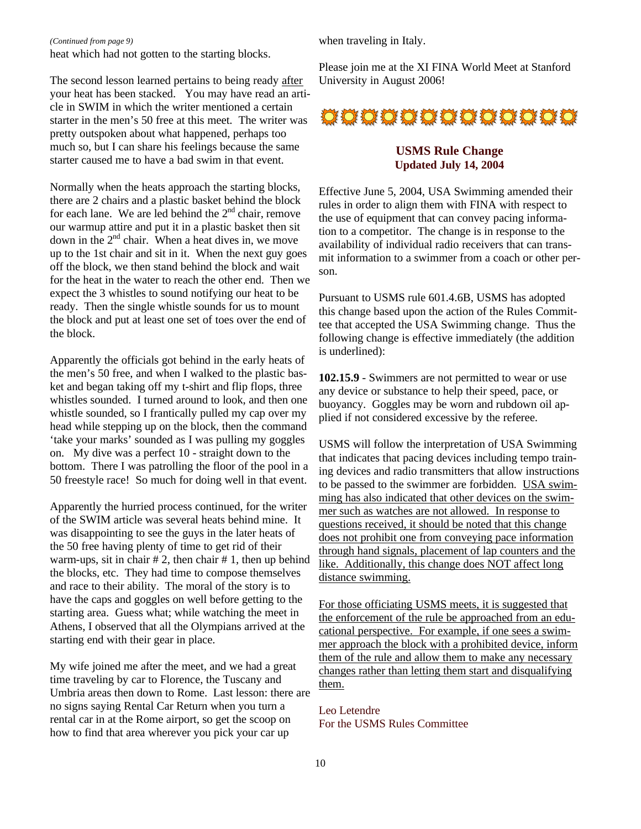#### *(Continued from page 9)*

heat which had not gotten to the starting blocks.

The second lesson learned pertains to being ready after your heat has been stacked. You may have read an article in SWIM in which the writer mentioned a certain starter in the men's 50 free at this meet. The writer was pretty outspoken about what happened, perhaps too much so, but I can share his feelings because the same starter caused me to have a bad swim in that event.

Normally when the heats approach the starting blocks, there are 2 chairs and a plastic basket behind the block for each lane. We are led behind the  $2<sup>nd</sup>$  chair, remove our warmup attire and put it in a plastic basket then sit down in the 2<sup>nd</sup> chair. When a heat dives in, we move up to the 1st chair and sit in it. When the next guy goes off the block, we then stand behind the block and wait for the heat in the water to reach the other end. Then we expect the 3 whistles to sound notifying our heat to be ready. Then the single whistle sounds for us to mount the block and put at least one set of toes over the end of the block.

Apparently the officials got behind in the early heats of the men's 50 free, and when I walked to the plastic basket and began taking off my t-shirt and flip flops, three whistles sounded. I turned around to look, and then one whistle sounded, so I frantically pulled my cap over my head while stepping up on the block, then the command 'take your marks' sounded as I was pulling my goggles on. My dive was a perfect 10 - straight down to the bottom. There I was patrolling the floor of the pool in a 50 freestyle race! So much for doing well in that event.

Apparently the hurried process continued, for the writer of the SWIM article was several heats behind mine. It was disappointing to see the guys in the later heats of the 50 free having plenty of time to get rid of their warm-ups, sit in chair  $# 2$ , then chair  $# 1$ , then up behind the blocks, etc. They had time to compose themselves and race to their ability. The moral of the story is to have the caps and goggles on well before getting to the starting area. Guess what; while watching the meet in Athens, I observed that all the Olympians arrived at the starting end with their gear in place.

My wife joined me after the meet, and we had a great time traveling by car to Florence, the Tuscany and Umbria areas then down to Rome. Last lesson: there are no signs saying Rental Car Return when you turn a rental car in at the Rome airport, so get the scoop on how to find that area wherever you pick your car up

when traveling in Italy.

Please join me at the XI FINA World Meet at Stanford University in August 2006!



## **USMS Rule Change Updated July 14, 2004**

Effective June 5, 2004, USA Swimming amended their rules in order to align them with FINA with respect to the use of equipment that can convey pacing information to a competitor. The change is in response to the availability of individual radio receivers that can transmit information to a swimmer from a coach or other person.

Pursuant to USMS rule 601.4.6B, USMS has adopted this change based upon the action of the Rules Committee that accepted the USA Swimming change. Thus the following change is effective immediately (the addition is underlined):

**102.15.9** - Swimmers are not permitted to wear or use any device or substance to help their speed, pace, or buoyancy. Goggles may be worn and rubdown oil applied if not considered excessive by the referee.

USMS will follow the interpretation of USA Swimming that indicates that pacing devices including tempo training devices and radio transmitters that allow instructions to be passed to the swimmer are forbidden. USA swimming has also indicated that other devices on the swimmer such as watches are not allowed. In response to questions received, it should be noted that this change does not prohibit one from conveying pace information through hand signals, placement of lap counters and the like. Additionally, this change does NOT affect long distance swimming.

For those officiating USMS meets, it is suggested that the enforcement of the rule be approached from an educational perspective. For example, if one sees a swimmer approach the block with a prohibited device, inform them of the rule and allow them to make any necessary changes rather than letting them start and disqualifying them.

Leo Letendre For the USMS Rules Committee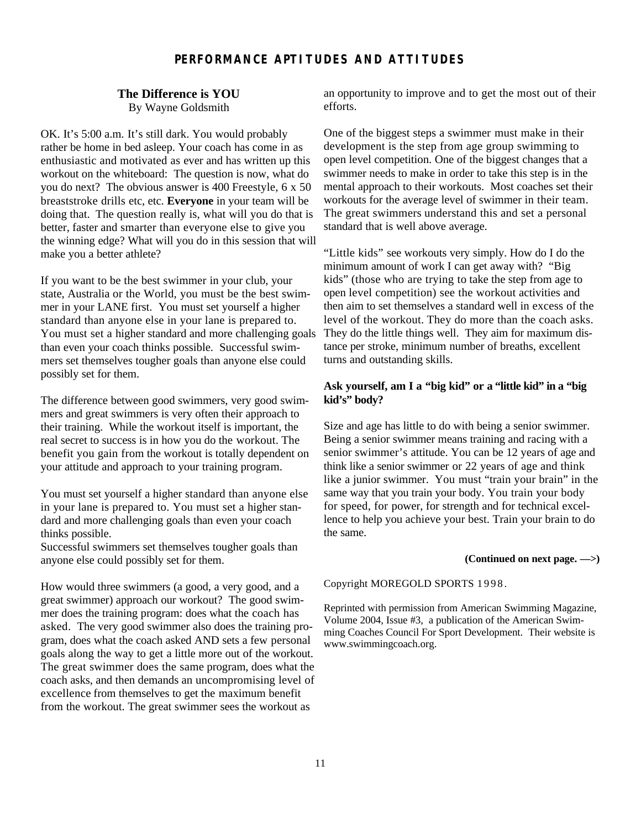# **PERFORMANCE APTITUDES AND ATTITUDES**

# **The Difference is YOU**

By Wayne Goldsmith

OK. It's 5:00 a.m. It's still dark. You would probably rather be home in bed asleep. Your coach has come in as enthusiastic and motivated as ever and has written up this workout on the whiteboard: The question is now, what do you do next? The obvious answer is 400 Freestyle, 6 x 50 breaststroke drills etc, etc. **Everyone** in your team will be doing that. The question really is, what will you do that is better, faster and smarter than everyone else to give you the winning edge? What will you do in this session that will make you a better athlete?

If you want to be the best swimmer in your club, your state, Australia or the World, you must be the best swimmer in your LANE first. You must set yourself a higher standard than anyone else in your lane is prepared to. You must set a higher standard and more challenging goals than even your coach thinks possible. Successful swimmers set themselves tougher goals than anyone else could possibly set for them.

The difference between good swimmers, very good swimmers and great swimmers is very often their approach to their training. While the workout itself is important, the real secret to success is in how you do the workout. The benefit you gain from the workout is totally dependent on your attitude and approach to your training program.

You must set yourself a higher standard than anyone else in your lane is prepared to. You must set a higher standard and more challenging goals than even your coach thinks possible.

Successful swimmers set themselves tougher goals than anyone else could possibly set for them.

How would three swimmers (a good, a very good, and a great swimmer) approach our workout? The good swimmer does the training program: does what the coach has asked. The very good swimmer also does the training program, does what the coach asked AND sets a few personal goals along the way to get a little more out of the workout. The great swimmer does the same program, does what the coach asks, and then demands an uncompromising level of excellence from themselves to get the maximum benefit from the workout. The great swimmer sees the workout as

an opportunity to improve and to get the most out of their efforts.

One of the biggest steps a swimmer must make in their development is the step from age group swimming to open level competition. One of the biggest changes that a swimmer needs to make in order to take this step is in the mental approach to their workouts. Most coaches set their workouts for the average level of swimmer in their team. The great swimmers understand this and set a personal standard that is well above average.

"Little kids" see workouts very simply. How do I do the minimum amount of work I can get away with? "Big kids" (those who are trying to take the step from age to open level competition) see the workout activities and then aim to set themselves a standard well in excess of the level of the workout. They do more than the coach asks. They do the little things well. They aim for maximum distance per stroke, minimum number of breaths, excellent turns and outstanding skills.

## **Ask yourself, am I a "big kid" or a "little kid" in a "big kid's" body?**

Size and age has little to do with being a senior swimmer. Being a senior swimmer means training and racing with a senior swimmer's attitude. You can be 12 years of age and think like a senior swimmer or 22 years of age and think like a junior swimmer. You must "train your brain" in the same way that you train your body. You train your body for speed, for power, for strength and for technical excellence to help you achieve your best. Train your brain to do the same.

#### **(Continued on next page. —>)**

Copyright MOREGOLD SPORTS 1998.

Reprinted with permission from American Swimming Magazine, Volume 2004, Issue #3, a publication of the American Swimming Coaches Council For Sport Development. Their website is www.swimmingcoach.org.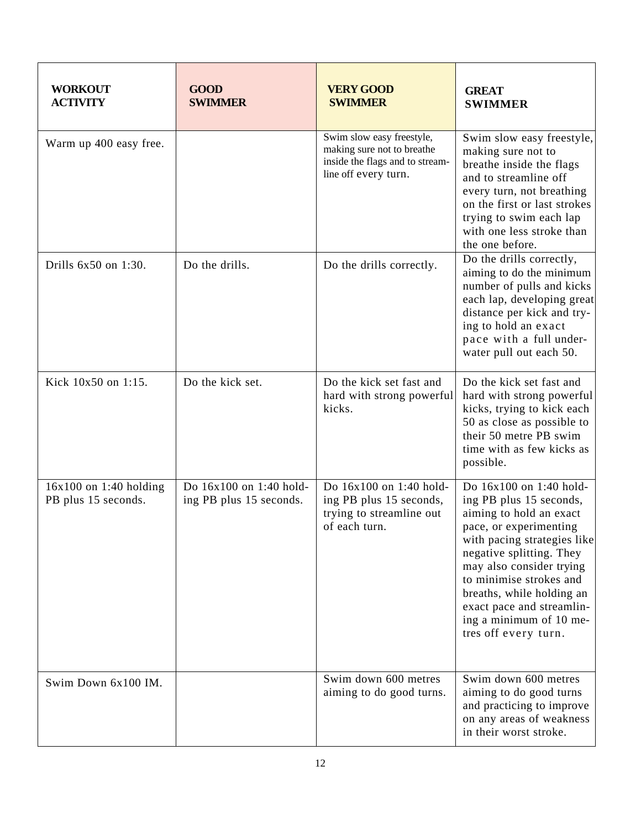| <b>WORKOUT</b><br><b>ACTIVITY</b>               | <b>GOOD</b><br><b>SWIMMER</b>                      | <b>VERY GOOD</b><br><b>SWIMMER</b>                                                                                 | <b>GREAT</b><br><b>SWIMMER</b>                                                                                                                                                                                                                                                                                                         |
|-------------------------------------------------|----------------------------------------------------|--------------------------------------------------------------------------------------------------------------------|----------------------------------------------------------------------------------------------------------------------------------------------------------------------------------------------------------------------------------------------------------------------------------------------------------------------------------------|
| Warm up 400 easy free.                          |                                                    | Swim slow easy freestyle,<br>making sure not to breathe<br>inside the flags and to stream-<br>line off every turn. | Swim slow easy freestyle,<br>making sure not to<br>breathe inside the flags<br>and to streamline off<br>every turn, not breathing<br>on the first or last strokes<br>trying to swim each lap<br>with one less stroke than<br>the one before.                                                                                           |
| Drills 6x50 on 1:30.                            | Do the drills.                                     | Do the drills correctly.                                                                                           | Do the drills correctly,<br>aiming to do the minimum<br>number of pulls and kicks<br>each lap, developing great<br>distance per kick and try-<br>ing to hold an exact<br>pace with a full under-<br>water pull out each 50.                                                                                                            |
| Kick 10x50 on 1:15.                             | Do the kick set.                                   | Do the kick set fast and<br>hard with strong powerful<br>kicks.                                                    | Do the kick set fast and<br>hard with strong powerful<br>kicks, trying to kick each<br>50 as close as possible to<br>their 50 metre PB swim<br>time with as few kicks as<br>possible.                                                                                                                                                  |
| $16x100$ on 1:40 holding<br>PB plus 15 seconds. | Do 16x100 on 1:40 hold-<br>ing PB plus 15 seconds. | Do 16x100 on 1:40 hold-<br>ing PB plus 15 seconds,<br>trying to streamline out<br>of each turn.                    | Do 16x100 on 1:40 hold-<br>ing PB plus 15 seconds,<br>aiming to hold an exact<br>pace, or experimenting<br>with pacing strategies like<br>negative splitting. They<br>may also consider trying<br>to minimise strokes and<br>breaths, while holding an<br>exact pace and streamlin-<br>ing a minimum of 10 me-<br>tres off every turn. |
| Swim Down 6x100 IM.                             |                                                    | Swim down 600 metres<br>aiming to do good turns.                                                                   | Swim down 600 metres<br>aiming to do good turns<br>and practicing to improve<br>on any areas of weakness<br>in their worst stroke.                                                                                                                                                                                                     |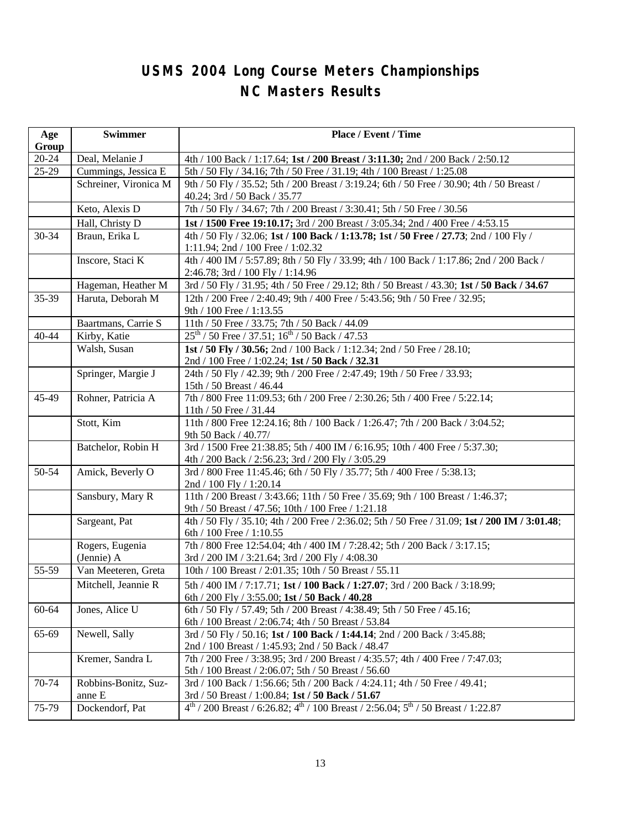# **USMS 2004 Long Course Meters Championships NC Masters Results**

| Age            | <b>Swimmer</b>                 | Place / Event / Time                                                                                                                                      |  |
|----------------|--------------------------------|-----------------------------------------------------------------------------------------------------------------------------------------------------------|--|
| Group<br>20-24 | Deal, Melanie J                |                                                                                                                                                           |  |
| $25-29$        | Cummings, Jessica E            | 4th / 100 Back / 1:17.64; 1st / 200 Breast / 3:11.30; 2nd / 200 Back / 2:50.12<br>5th / 50 Fly / 34.16; 7th / 50 Free / 31.19; 4th / 100 Breast / 1:25.08 |  |
|                | Schreiner, Vironica M          | 9th / 50 Fly / 35.52; 5th / 200 Breast / 3:19.24; 6th / 50 Free / 30.90; 4th / 50 Breast /                                                                |  |
|                |                                | 40.24; 3rd / 50 Back / 35.77                                                                                                                              |  |
|                | Keto, Alexis D                 | 7th / 50 Fly / 34.67; 7th / 200 Breast / 3:30.41; 5th / 50 Free / 30.56                                                                                   |  |
|                | Hall, Christy D                | 1st / 1500 Free 19:10.17; 3rd / 200 Breast / 3:05.34; 2nd / 400 Free / 4:53.15                                                                            |  |
| 30-34          | Braun, Erika L                 | 4th / 50 Fly / 32.06; 1st / 100 Back / 1:13.78; 1st / 50 Free / 27.73; 2nd / 100 Fly /<br>1:11.94; 2nd / 100 Free / 1:02.32                               |  |
|                | Inscore, Staci K               | 4th / 400 IM / 5:57.89; 8th / 50 Fly / 33.99; 4th / 100 Back / 1:17.86; 2nd / 200 Back /<br>2:46.78; 3rd / 100 Fly / 1:14.96                              |  |
|                | Hageman, Heather M             | 3rd / 50 Fly / 31.95; 4th / 50 Free / 29.12; 8th / 50 Breast / 43.30; 1st / 50 Back / 34.67                                                               |  |
| 35-39          | Haruta, Deborah M              | 12th / 200 Free / 2:40.49; 9th / 400 Free / 5:43.56; 9th / 50 Free / 32.95;<br>9th / 100 Free / 1:13.55                                                   |  |
|                | Baartmans, Carrie S            | 11th / 50 Free / 33.75; 7th / 50 Back / 44.09                                                                                                             |  |
| 40-44          | Kirby, Katie                   | $25^{th}$ / 50 Free / 37.51; $16^{th}$ / 50 Back / 47.53                                                                                                  |  |
|                | Walsh, Susan                   | 1st / 50 Fly / 30.56; 2nd / 100 Back / 1:12.34; 2nd / 50 Free / 28.10;<br>2nd / 100 Free / 1:02.24; 1st / 50 Back / 32.31                                 |  |
|                | Springer, Margie J             | 24th / 50 Fly / 42.39; 9th / 200 Free / 2:47.49; 19th / 50 Free / 33.93;<br>15th / 50 Breast / 46.44                                                      |  |
| 45-49          | Rohner, Patricia A             | 7th / 800 Free 11:09.53; 6th / 200 Free / 2:30.26; 5th / 400 Free / 5:22.14;<br>11th / 50 Free / 31.44                                                    |  |
|                | Stott, Kim                     | 11th / 800 Free 12:24.16; 8th / 100 Back / 1:26.47; 7th / 200 Back / 3:04.52;<br>9th 50 Back / 40.77/                                                     |  |
|                | Batchelor, Robin H             | 3rd / 1500 Free 21:38.85; 5th / 400 IM / 6:16.95; 10th / 400 Free / 5:37.30;<br>4th / 200 Back / 2:56.23; 3rd / 200 Fly / 3:05.29                         |  |
| 50-54          | Amick, Beverly O               | 3rd / 800 Free 11:45.46; 6th / 50 Fly / 35.77; 5th / 400 Free / 5:38.13;<br>2nd / 100 Fly / 1:20.14                                                       |  |
|                | Sansbury, Mary R               | 11th / 200 Breast / 3:43.66; 11th / 50 Free / 35.69; 9th / 100 Breast / 1:46.37;<br>9th / 50 Breast / 47.56; 10th / 100 Free / 1:21.18                    |  |
|                | Sargeant, Pat                  | 4th / 50 Fly / 35.10; 4th / 200 Free / 2:36.02; 5th / 50 Free / 31.09; 1st / 200 IM / 3:01.48;<br>6th / 100 Free / 1:10.55                                |  |
|                | Rogers, Eugenia<br>(Jennie) A  | 7th / 800 Free 12:54.04; 4th / 400 IM / 7:28.42; 5th / 200 Back / 3:17.15;<br>3rd / 200 IM / 3:21.64; 3rd / 200 Fly / 4:08.30                             |  |
| 55-59          | Van Meeteren, Greta            | 10th / 100 Breast / 2:01.35; 10th / 50 Breast / 55.11                                                                                                     |  |
|                | Mitchell, Jeannie R            | 5th / 400 IM / 7:17.71; 1st / 100 Back / 1:27.07; 3rd / 200 Back / 3:18.99;<br>6th / 200 Fly / 3:55.00; 1st / 50 Back / 40.28                             |  |
| 60-64          | Jones, Alice U                 | 6th / 50 Fly / 57.49; 5th / 200 Breast / 4:38.49; 5th / 50 Free / 45.16;<br>6th / 100 Breast / 2:06.74; 4th / 50 Breast / 53.84                           |  |
| 65-69          | Newell, Sally                  | 3rd / 50 Fly / 50.16; 1st / 100 Back / 1:44.14; 2nd / 200 Back / 3:45.88;<br>2nd / 100 Breast / 1:45.93; 2nd / 50 Back / 48.47                            |  |
|                | Kremer, Sandra L               | 7th / 200 Free / 3:38.95; 3rd / 200 Breast / 4:35.57; 4th / 400 Free / 7:47.03;<br>5th / 100 Breast / 2:06.07; 5th / 50 Breast / 56.60                    |  |
| 70-74          | Robbins-Bonitz, Suz-<br>anne E | 3rd / 100 Back / 1:56.66; 5th / 200 Back / 4:24.11; 4th / 50 Free / 49.41;<br>3rd / 50 Breast / 1:00.84; 1st / 50 Back / 51.67                            |  |
| 75-79          | Dockendorf, Pat                | $4^{th}$ / 200 Breast / 6:26.82; $4^{th}$ / 100 Breast / 2:56.04; $5^{th}$ / 50 Breast / 1:22.87                                                          |  |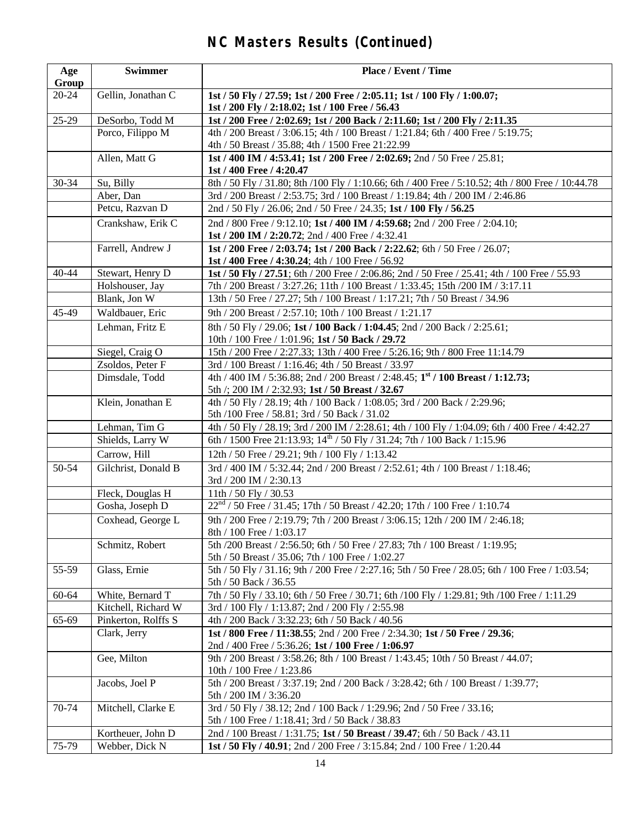# **NC Masters Results (Continued)**

| Age<br>Group | <b>Swimmer</b>      | Place / Event / Time                                                                                                               |
|--------------|---------------------|------------------------------------------------------------------------------------------------------------------------------------|
| 20-24        | Gellin, Jonathan C  | 1st / 50 Fly / 27.59; 1st / 200 Free / 2:05.11; 1st / 100 Fly / 1:00.07;<br>1st / 200 Fly / 2:18.02; 1st / 100 Free / 56.43        |
| 25-29        | DeSorbo, Todd M     | 1st / 200 Free / 2:02.69; 1st / 200 Back / 2:11.60; 1st / 200 Fly / 2:11.35                                                        |
|              | Porco, Filippo M    | 4th / 200 Breast / 3:06.15; 4th / 100 Breast / 1:21.84; 6th / 400 Free / 5:19.75;                                                  |
|              |                     | 4th / 50 Breast / 35.88; 4th / 1500 Free 21:22.99                                                                                  |
|              | Allen, Matt G       | 1st / 400 IM / 4:53.41; 1st / 200 Free / 2:02.69; 2nd / 50 Free / 25.81;<br>1st / 400 Free / 4:20.47                               |
| 30-34        | Su, Billy           | 8th / 50 Fly / 31.80; 8th / 100 Fly / 1:10.66; 6th / 400 Free / 5:10.52; 4th / 800 Free / 10:44.78                                 |
|              | Aber, Dan           | 3rd / 200 Breast / 2:53.75; 3rd / 100 Breast / 1:19.84; 4th / 200 IM / 2:46.86                                                     |
|              | Petcu, Razvan D     | 2nd / 50 Fly / 26.06; 2nd / 50 Free / 24.35; 1st / 100 Fly / 56.25                                                                 |
|              | Crankshaw, Erik C   | 2nd / 800 Free / 9:12.10; 1st / 400 IM / 4:59.68; 2nd / 200 Free / 2:04.10;                                                        |
|              |                     | 1st / 200 IM / 2:20.72; 2nd / 400 Free / 4:32.41                                                                                   |
|              | Farrell, Andrew J   | 1st / 200 Free / 2:03.74; 1st / 200 Back / 2:22.62; 6th / 50 Free / 26.07;                                                         |
|              |                     | 1st / 400 Free / 4:30.24; 4th / 100 Free / 56.92                                                                                   |
| 40-44        | Stewart, Henry D    | 1st / 50 Fly / 27.51; 6th / 200 Free / 2:06.86; 2nd / 50 Free / 25.41; 4th / 100 Free / 55.93                                      |
|              | Holshouser, Jay     | 7th / 200 Breast / 3:27.26; 11th / 100 Breast / 1:33.45; 15th / 200 IM / 3:17.11                                                   |
|              | Blank, Jon W        | 13th / 50 Free / 27.27; 5th / 100 Breast / 1:17.21; 7th / 50 Breast / 34.96                                                        |
| 45-49        | Waldbauer, Eric     | 9th / 200 Breast / 2:57.10; 10th / 100 Breast / 1:21.17                                                                            |
|              | Lehman, Fritz E     | 8th / 50 Fly / 29.06; 1st / 100 Back / 1:04.45; 2nd / 200 Back / 2:25.61;                                                          |
|              |                     | 10th / 100 Free / 1:01.96; 1st / 50 Back / 29.72                                                                                   |
|              | Siegel, Craig O     | 15th / 200 Free / 2:27.33; 13th / 400 Free / 5:26.16; 9th / 800 Free 11:14.79                                                      |
|              | Zsoldos, Peter F    | 3rd / 100 Breast / 1:16.46; 4th / 50 Breast / 33.97                                                                                |
|              | Dimsdale, Todd      | 4th / 400 IM / 5:36.88; 2nd / 200 Breast / 2:48.45; 1 <sup>st</sup> / 100 Breast / 1:12.73;                                        |
|              |                     | 5th /; 200 IM / 2:32.93; 1st / 50 Breast / 32.67                                                                                   |
|              | Klein, Jonathan E   | 4th / 50 Fly / 28.19; 4th / 100 Back / 1:08.05; 3rd / 200 Back / 2:29.96;<br>5th /100 Free / 58.81; 3rd / 50 Back / 31.02          |
|              | Lehman, Tim G       | 4th / 50 Fly / 28.19; 3rd / 200 IM / 2:28.61; 4th / 100 Fly / 1:04.09; 6th / 400 Free / 4:42.27                                    |
|              | Shields, Larry W    | 6th / 1500 Free 21:13.93; 14 <sup>th</sup> / 50 Fly / 31.24; 7th / 100 Back / 1:15.96                                              |
|              | Carrow, Hill        | 12th / 50 Free / 29.21; 9th / 100 Fly / 1:13.42                                                                                    |
| 50-54        | Gilchrist, Donald B | 3rd / 400 IM / 5:32.44; 2nd / 200 Breast / 2:52.61; 4th / 100 Breast / 1:18.46;                                                    |
|              |                     | 3rd / 200 IM / 2:30.13                                                                                                             |
|              | Fleck, Douglas H    | 11th / 50 Fly / 30.53                                                                                                              |
|              | Gosha, Joseph D     | $22nd$ / 50 Free / 31.45; 17th / 50 Breast / 42.20; 17th / 100 Free / 1:10.74                                                      |
|              | Coxhead, George L   | 9th / 200 Free / 2:19.79; 7th / 200 Breast / 3:06.15; 12th / 200 IM / 2:46.18;<br>8th / 100 Free / 1:03.17                         |
|              | Schmitz, Robert     | 5th /200 Breast / 2:56.50; 6th / 50 Free / 27.83; 7th / 100 Breast / 1:19.95;<br>5th / 50 Breast / 35.06; 7th / 100 Free / 1:02.27 |
| 55-59        | Glass, Ernie        | 5th / 50 Fly / 31.16; 9th / 200 Free / 2:27.16; 5th / 50 Free / 28.05; 6th / 100 Free / 1:03.54;<br>5th / 50 Back / 36.55          |
| 60-64        | White, Bernard T    | 7th / 50 Fly / 33.10; 6th / 50 Free / 30.71; 6th / 100 Fly / 1:29.81; 9th / 100 Free / 1:11.29                                     |
|              | Kitchell, Richard W | 3rd / 100 Fly / 1:13.87; 2nd / 200 Fly / 2:55.98                                                                                   |
| 65-69        | Pinkerton, Rolffs S | 4th / 200 Back / 3:32.23; 6th / 50 Back / 40.56                                                                                    |
|              | Clark, Jerry        | 1st / 800 Free / 11:38.55; 2nd / 200 Free / 2:34.30; 1st / 50 Free / 29.36;                                                        |
|              |                     | 2nd / 400 Free / 5:36.26; 1st / 100 Free / 1:06.97                                                                                 |
|              | Gee, Milton         | 9th / 200 Breast / 3:58.26; 8th / 100 Breast / 1:43.45; 10th / 50 Breast / 44.07;<br>10th / 100 Free / 1:23.86                     |
|              | Jacobs, Joel P      | 5th / 200 Breast / 3:37.19; 2nd / 200 Back / 3:28.42; 6th / 100 Breast / 1:39.77;<br>5th / 200 IM / 3:36.20                        |
| 70-74        | Mitchell, Clarke E  | 3rd / 50 Fly / 38.12; 2nd / 100 Back / 1:29.96; 2nd / 50 Free / 33.16;                                                             |
|              |                     | 5th / 100 Free / 1:18.41; 3rd / 50 Back / 38.83                                                                                    |
|              | Kortheuer, John D   | 2nd / 100 Breast / 1:31.75; 1st / 50 Breast / 39.47; 6th / 50 Back / 43.11                                                         |
| 75-79        | Webber, Dick N      | 1st / 50 Fly / 40.91; 2nd / 200 Free / 3:15.84; 2nd / 100 Free / 1:20.44                                                           |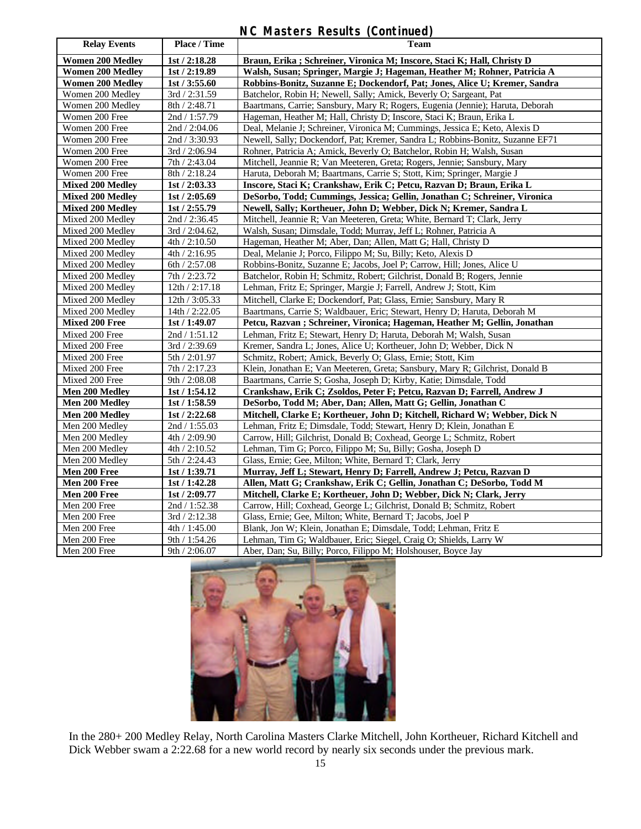# **NC Masters Results (Continued)**

| <b>Relay Events</b>     | Place / Time      | <b>Team</b>                                                                    |  |
|-------------------------|-------------------|--------------------------------------------------------------------------------|--|
| <b>Women 200 Medley</b> | 1st / 2:18.28     | Braun, Erika ; Schreiner, Vironica M; Inscore, Staci K; Hall, Christy D        |  |
| <b>Women 200 Medley</b> | 1st/2:19.89       | Walsh, Susan; Springer, Margie J; Hageman, Heather M; Rohner, Patricia A       |  |
| <b>Women 200 Medley</b> | 1st / 3:55.60     | Robbins-Bonitz, Suzanne E; Dockendorf, Pat; Jones, Alice U; Kremer, Sandra     |  |
| Women 200 Medley        | 3rd / 2:31.59     | Batchelor, Robin H; Newell, Sally; Amick, Beverly O; Sargeant, Pat             |  |
| Women 200 Medley        | 8th / 2:48.71     | Baartmans, Carrie; Sansbury, Mary R; Rogers, Eugenia (Jennie); Haruta, Deborah |  |
| Women 200 Free          | 2nd / 1:57.79     | Hageman, Heather M; Hall, Christy D; Inscore, Staci K; Braun, Erika L          |  |
| Women 200 Free          | 2nd / 2:04.06     | Deal, Melanie J; Schreiner, Vironica M; Cummings, Jessica E; Keto, Alexis D    |  |
| Women 200 Free          | 2nd / 3:30.93     | Newell, Sally; Dockendorf, Pat; Kremer, Sandra L; Robbins-Bonitz, Suzanne EF71 |  |
| Women 200 Free          | 3rd / 2:06.94     | Rohner, Patricia A; Amick, Beverly O; Batchelor, Robin H; Walsh, Susan         |  |
| Women 200 Free          | 7th / 2:43.04     | Mitchell, Jeannie R; Van Meeteren, Greta; Rogers, Jennie; Sansbury, Mary       |  |
| Women 200 Free          | 8th / 2:18.24     | Haruta, Deborah M; Baartmans, Carrie S; Stott, Kim; Springer, Margie J         |  |
| <b>Mixed 200 Medley</b> | 1st / 2:03.33     | Inscore, Staci K; Crankshaw, Erik C; Petcu, Razvan D; Braun, Erika L           |  |
| <b>Mixed 200 Medley</b> | 1st / 2:05.69     | DeSorbo, Todd; Cummings, Jessica; Gellin, Jonathan C; Schreiner, Vironica      |  |
| <b>Mixed 200 Medley</b> | 1st / 2:55.79     | Newell, Sally; Kortheuer, John D; Webber, Dick N; Kremer, Sandra L             |  |
| Mixed 200 Medley        | 2nd / 2:36.45     | Mitchell, Jeannie R; Van Meeteren, Greta; White, Bernard T; Clark, Jerry       |  |
| Mixed 200 Medley        | $3rd / 2:04.62$ , | Walsh, Susan; Dimsdale, Todd; Murray, Jeff L; Rohner, Patricia A               |  |
| Mixed 200 Medley        | 4th / 2:10.50     | Hageman, Heather M; Aber, Dan; Allen, Matt G; Hall, Christy D                  |  |
| Mixed 200 Medley        | 4th / 2:16.95     | Deal, Melanie J; Porco, Filippo M; Su, Billy; Keto, Alexis D                   |  |
| Mixed 200 Medley        | 6th / 2:57.08     | Robbins-Bonitz, Suzanne E; Jacobs, Joel P; Carrow, Hill; Jones, Alice U        |  |
| Mixed 200 Medlev        | 7th / 2:23.72     | Batchelor, Robin H; Schmitz, Robert; Gilchrist, Donald B; Rogers, Jennie       |  |
| Mixed 200 Medley        | 12th / 2:17.18    | Lehman, Fritz E; Springer, Margie J; Farrell, Andrew J; Stott, Kim             |  |
| Mixed 200 Medley        | 12th / 3:05.33    | Mitchell, Clarke E; Dockendorf, Pat; Glass, Ernie; Sansbury, Mary R            |  |
| Mixed 200 Medley        | 14th / 2:22.05    | Baartmans, Carrie S; Waldbauer, Eric; Stewart, Henry D; Haruta, Deborah M      |  |
| <b>Mixed 200 Free</b>   | 1st / 1:49.07     | Petcu, Razvan; Schreiner, Vironica; Hageman, Heather M; Gellin, Jonathan       |  |
| Mixed 200 Free          | 2nd / 1:51.12     | Lehman, Fritz E; Stewart, Henry D; Haruta, Deborah M; Walsh, Susan             |  |
| Mixed 200 Free          | 3rd / 2:39.69     | Kremer, Sandra L; Jones, Alice U; Kortheuer, John D; Webber, Dick N            |  |
| Mixed 200 Free          | 5th / 2:01.97     | Schmitz, Robert; Amick, Beverly O; Glass, Ernie; Stott, Kim                    |  |
| Mixed 200 Free          | 7th / 2:17.23     | Klein, Jonathan E; Van Meeteren, Greta; Sansbury, Mary R; Gilchrist, Donald B  |  |
| Mixed 200 Free          | 9th / 2:08.08     | Baartmans, Carrie S; Gosha, Joseph D; Kirby, Katie; Dimsdale, Todd             |  |
| <b>Men 200 Medley</b>   | 1st / 1:54.12     | Crankshaw, Erik C; Zsoldos, Peter F; Petcu, Razvan D; Farrell, Andrew J        |  |
| Men 200 Medley          | 1st/1:58.59       | DeSorbo, Todd M; Aber, Dan; Allen, Matt G; Gellin, Jonathan C                  |  |
| Men 200 Medlev          | 1st / 2:22.68     | Mitchell, Clarke E; Kortheuer, John D; Kitchell, Richard W; Webber, Dick N     |  |
| Men 200 Medley          | 2nd / 1:55.03     | Lehman, Fritz E; Dimsdale, Todd; Stewart, Henry D; Klein, Jonathan E           |  |
| Men 200 Medley          | 4th / 2:09.90     | Carrow, Hill; Gilchrist, Donald B; Coxhead, George L; Schmitz, Robert          |  |
| Men 200 Medley          | 4th / 2:10.52     | Lehman, Tim G; Porco, Filippo M; Su, Billy; Gosha, Joseph D                    |  |
| Men 200 Medley          | 5th / 2:24.43     | Glass, Ernie; Gee, Milton; White, Bernard T; Clark, Jerry                      |  |
| Men 200 Free            | 1st / 1:39.71     | Murray, Jeff L; Stewart, Henry D; Farrell, Andrew J; Petcu, Razvan D           |  |
| Men 200 Free            | 1st / 1:42.28     | Allen, Matt G; Crankshaw, Erik C; Gellin, Jonathan C; DeSorbo, Todd M          |  |
| Men 200 Free            | 1st / 2:09.77     | Mitchell, Clarke E; Kortheuer, John D; Webber, Dick N; Clark, Jerry            |  |
| Men 200 Free            | 2nd / 1:52.38     | Carrow, Hill; Coxhead, George L; Gilchrist, Donald B; Schmitz, Robert          |  |
| Men 200 Free            | 3rd / 2:12.38     | Glass, Ernie; Gee, Milton; White, Bernard T; Jacobs, Joel P                    |  |
| Men 200 Free            | 4th / 1:45.00     | Blank, Jon W; Klein, Jonathan E; Dimsdale, Todd; Lehman, Fritz E               |  |
| Men 200 Free            | 9th / 1:54.26     | Lehman, Tim G; Waldbauer, Eric; Siegel, Craig O; Shields, Larry W              |  |
| Men 200 Free            | 9th / 2:06.07     | Aber, Dan; Su, Billy; Porco, Filippo M; Holshouser, Boyce Jay                  |  |



In the 280+ 200 Medley Relay, North Carolina Masters Clarke Mitchell, John Kortheuer, Richard Kitchell and Dick Webber swam a 2:22.68 for a new world record by nearly six seconds under the previous mark.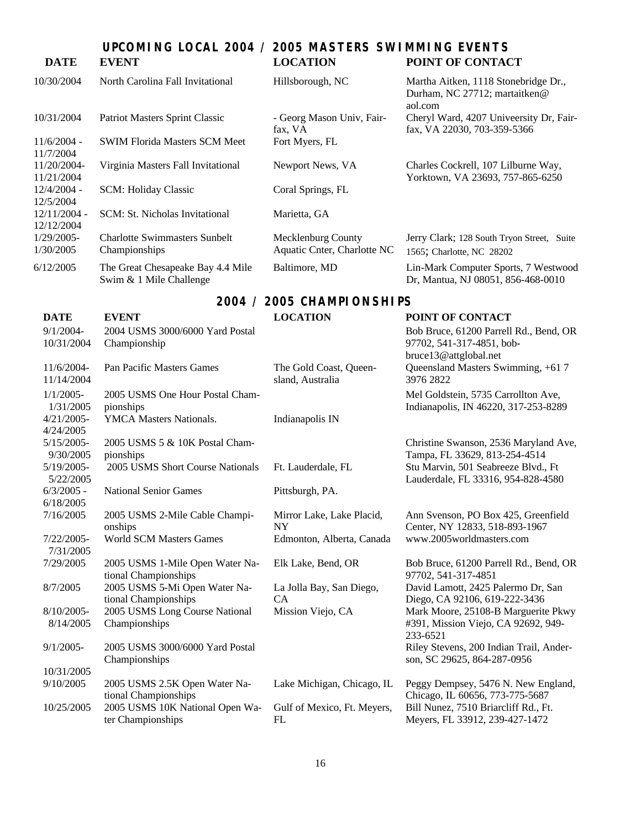# **UPCOMING LOCAL 2004 / 2005 MASTERS SWIMMING EVENTS DATE EVENT LOCATION POINT OF CONTACT**

| 10/30/2004                   | North Carolina Fall Invitational                             | Hillsborough, NC                                  | Martha Aitken, 1118 Stonebridge Dr.,<br>Durham, NC 27712; martaitken@<br>aol.com |
|------------------------------|--------------------------------------------------------------|---------------------------------------------------|----------------------------------------------------------------------------------|
| 10/31/2004                   | Patriot Masters Sprint Classic                               | - Georg Mason Univ, Fair-<br>fax, VA              | Cheryl Ward, 4207 University Dr, Fair-<br>fax, VA 22030, 703-359-5366            |
| $11/6/2004$ -<br>11/7/2004   | <b>SWIM Florida Masters SCM Meet</b>                         | Fort Myers, FL                                    |                                                                                  |
| 11/20/2004-<br>11/21/2004    | Virginia Masters Fall Invitational                           | Newport News, VA                                  | Charles Cockrell, 107 Lilburne Way,<br>Yorktown, VA 23693, 757-865-6250          |
| $12/4/2004 -$<br>12/5/2004   | <b>SCM: Holiday Classic</b>                                  | Coral Springs, FL                                 |                                                                                  |
| $12/11/2004 -$<br>12/12/2004 | SCM: St. Nicholas Invitational                               | Marietta, GA                                      |                                                                                  |
| $1/29/2005$ -<br>1/30/2005   | Charlotte Swimmasters Sunbelt<br>Championships               | Mecklenburg County<br>Aquatic Cnter, Charlotte NC | Jerry Clark; 128 South Tryon Street, Suite<br>1565; Charlotte, NC 28202          |
| 6/12/2005                    | The Great Chesapeake Bay 4.4 Mile<br>Swim & 1 Mile Challenge | Baltimore, MD                                     | Lin-Mark Computer Sports, 7 Westwood<br>Dr, Mantua, NJ 08051, 856-468-0010       |

# **2004 / 2005 CHAMPIONSHIPS**

| <b>DATE</b>                | <b>EVENT</b>                                            | <b>LOCATION</b>                            | POINT OF CONTACT                                                                       |
|----------------------------|---------------------------------------------------------|--------------------------------------------|----------------------------------------------------------------------------------------|
| $9/1/2004 -$<br>10/31/2004 | 2004 USMS 3000/6000 Yard Postal<br>Championship         |                                            | Bob Bruce, 61200 Parrell Rd., Bend, OR<br>97702, 541-317-4851, bob-                    |
| 11/6/2004-<br>11/14/2004   | Pan Pacific Masters Games                               | The Gold Coast, Queen-<br>sland, Australia | bruce13@attglobal.net<br>Queensland Masters Swimming, +61 7<br>3976 2822               |
| $1/1/2005$ -<br>1/31/2005  | 2005 USMS One Hour Postal Cham-<br>pionships            |                                            | Mel Goldstein, 5735 Carrollton Ave,<br>Indianapolis, IN 46220, 317-253-8289            |
| $4/21/2005$ -<br>4/24/2005 | YMCA Masters Nationals.                                 | Indianapolis IN                            |                                                                                        |
| $5/15/2005$ -<br>9/30/2005 | 2005 USMS 5 & 10K Postal Cham-<br>pionships             |                                            | Christine Swanson, 2536 Maryland Ave,<br>Tampa, FL 33629, 813-254-4514                 |
| $5/19/2005$ -<br>5/22/2005 | 2005 USMS Short Course Nationals                        | Ft. Lauderdale, FL                         | Stu Marvin, 501 Seabreeze Blvd., Ft<br>Lauderdale, FL 33316, 954-828-4580              |
| $6/3/2005$ -<br>6/18/2005  | <b>National Senior Games</b>                            | Pittsburgh, PA.                            |                                                                                        |
| 7/16/2005                  | 2005 USMS 2-Mile Cable Champi-<br>onships               | Mirror Lake, Lake Placid,<br><b>NY</b>     | Ann Svenson, PO Box 425, Greenfield<br>Center, NY 12833, 518-893-1967                  |
| $7/22/2005$ -<br>7/31/2005 | <b>World SCM Masters Games</b>                          | Edmonton, Alberta, Canada                  | www.2005worldmasters.com                                                               |
| 7/29/2005                  | 2005 USMS 1-Mile Open Water Na-<br>tional Championships | Elk Lake, Bend, OR                         | Bob Bruce, 61200 Parrell Rd., Bend, OR<br>97702, 541-317-4851                          |
| 8/7/2005                   | 2005 USMS 5-Mi Open Water Na-<br>tional Championships   | La Jolla Bay, San Diego,<br>CA             | David Lamott, 2425 Palermo Dr, San<br>Diego, CA 92106, 619-222-3436                    |
| $8/10/2005$ -<br>8/14/2005 | 2005 USMS Long Course National<br>Championships         | Mission Viejo, CA                          | Mark Moore, 25108-B Marguerite Pkwy<br>#391, Mission Viejo, CA 92692, 949-<br>233-6521 |
| $9/1/2005$ -               | 2005 USMS 3000/6000 Yard Postal<br>Championships        |                                            | Riley Stevens, 200 Indian Trail, Ander-<br>son, SC 29625, 864-287-0956                 |
| 10/31/2005                 |                                                         |                                            |                                                                                        |
| 9/10/2005                  | 2005 USMS 2.5K Open Water Na-<br>tional Championships   | Lake Michigan, Chicago, IL                 | Peggy Dempsey, 5476 N. New England,<br>Chicago, IL 60656, 773-775-5687                 |
| 10/25/2005                 | 2005 USMS 10K National Open Wa-<br>ter Championships    | Gulf of Mexico, Ft. Meyers,<br>FL          | Bill Nunez, 7510 Briarcliff Rd., Ft.<br>Meyers, FL 33912, 239-427-1472                 |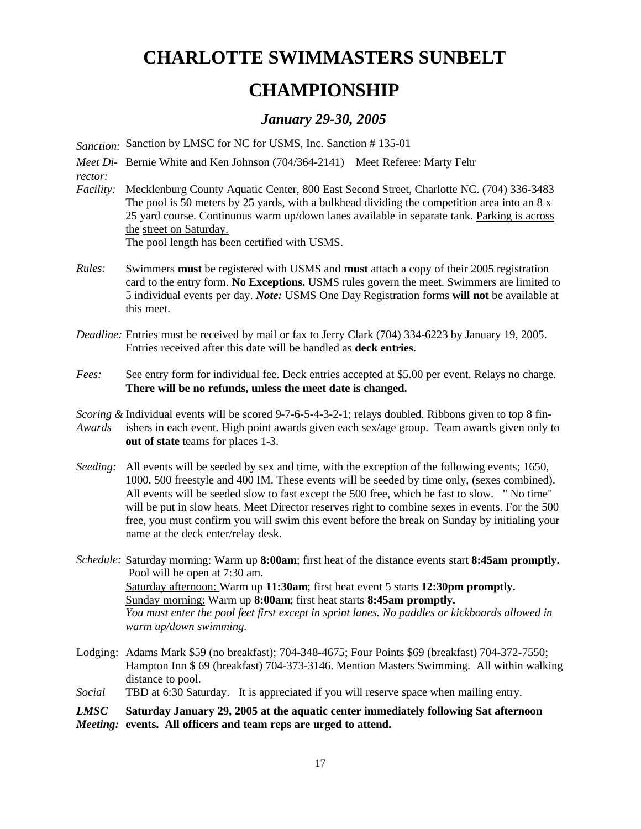# **CHARLOTTE SWIMMASTERS SUNBELT**

# **CHAMPIONSHIP**

# *January 29-30, 2005*

*Sanction:* Sanction by LMSC for NC for USMS, Inc. Sanction # 135-01

Meet Di- Bernie White and Ken Johnson (704/364-2141) Meet Referee: Marty Fehr *rector:*

*Facility:* Mecklenburg County Aquatic Center, 800 East Second Street, Charlotte NC. (704) 336-3483 The pool is 50 meters by 25 yards, with a bulkhead dividing the competition area into an  $8 \times$ 25 yard course. Continuous warm up/down lanes available in separate tank. Parking is across the street on Saturday.

The pool length has been certified with USMS.

- *Rules:* Swimmers **must** be registered with USMS and **must** attach a copy of their 2005 registration card to the entry form. **No Exceptions.** USMS rules govern the meet. Swimmers are limited to 5 individual events per day. *Note:* USMS One Day Registration forms **will not** be available at this meet.
- *Deadline:* Entries must be received by mail or fax to Jerry Clark (704) 334-6223 by January 19, 2005. Entries received after this date will be handled as **deck entries**.
- *Fees:* See entry form for individual fee. Deck entries accepted at \$5.00 per event. Relays no charge. **There will be no refunds, unless the meet date is changed.**
- *Scoring &*  Individual events will be scored 9-7-6-5-4-3-2-1; relays doubled. Ribbons given to top 8 fin-*Awards* ishers in each event. High point awards given each sex/age group. Team awards given only to **out of state** teams for places 1-3.
- *Seeding:* All events will be seeded by sex and time, with the exception of the following events; 1650, 1000, 500 freestyle and 400 IM. These events will be seeded by time only, (sexes combined). All events will be seeded slow to fast except the 500 free, which be fast to slow. " No time" will be put in slow heats. Meet Director reserves right to combine sexes in events. For the 500 free, you must confirm you will swim this event before the break on Sunday by initialing your name at the deck enter/relay desk.
- *Schedule:* Saturday morning: Warm up **8:00am**; first heat of the distance events start **8:45am promptly.** Pool will be open at 7:30 am. Saturday afternoon: Warm up **11:30am**; first heat event 5 starts **12:30pm promptly.** Sunday morning: Warm up **8:00am**; first heat starts **8:45am promptly.** *You must enter the pool feet first except in sprint lanes. No paddles or kickboards allowed in warm up/down swimming.*
- Lodging: Adams Mark \$59 (no breakfast); 704-348-4675; Four Points \$69 (breakfast) 704-372-7550; Hampton Inn \$ 69 (breakfast) 704-373-3146. Mention Masters Swimming. All within walking distance to pool.
- *Social* TBD at 6:30 Saturday. It is appreciated if you will reserve space when mailing entry.

#### *LMSC Meeting:* **events. All officers and team reps are urged to attend.Saturday January 29, 2005 at the aquatic center immediately following Sat afternoon**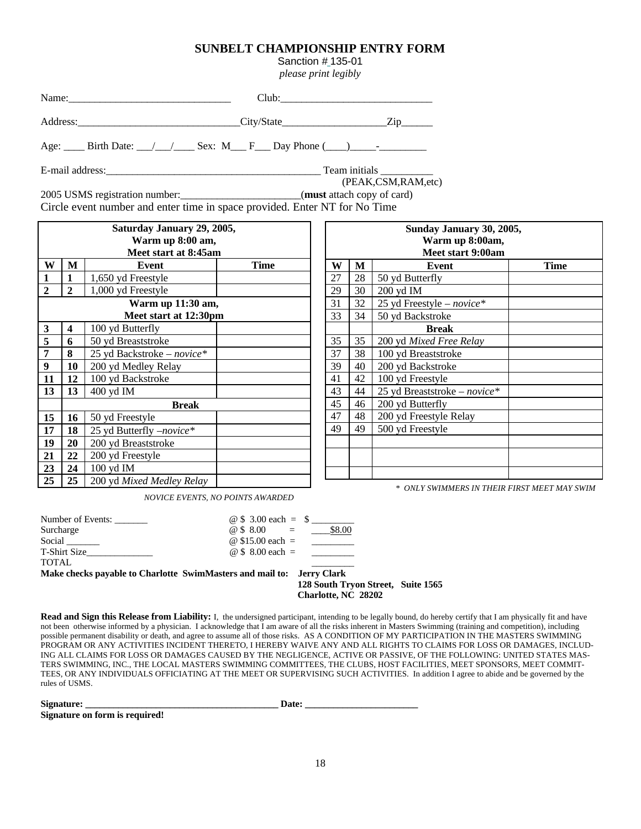# **SUNBELT CHAMPIONSHIP ENTRY FORM**

Sanction # 135-01

*please print legibly*

| Name:    | Club:      |      |
|----------|------------|------|
| Address: | City/State | ′.ın |

Age:  $\qquad$  Birth Date:  $\angle$   $\angle$   $\angle$  Sex: M\_\_\_ F \_\_\_ Day Phone (\_\_\_)\_\_\_\_\_\_\_\_\_\_\_\_

E-mail address:\_\_\_\_\_\_\_\_\_\_\_\_\_\_\_\_\_\_\_\_\_\_\_\_\_\_\_\_\_\_\_\_\_\_\_\_\_\_\_\_\_ Team initials \_\_\_\_\_\_\_\_\_\_

(PEAK,CSM,RAM,etc)

2005 USMS registration number:\_\_\_\_\_\_\_\_\_\_\_\_\_\_\_\_\_\_\_\_\_\_\_(**must** attach copy of card) Circle event number and enter time in space provided. Enter NT for No Time

| Saturday January 29, 2005, |                                          |                                             |  |  |  |
|----------------------------|------------------------------------------|---------------------------------------------|--|--|--|
|                            | Warm up 8:00 am,<br>Meet start at 8:45am |                                             |  |  |  |
| W                          | М                                        | <b>Time</b><br>Event                        |  |  |  |
| $\mathbf{1}$               | 1                                        | 1,650 yd Freestyle                          |  |  |  |
| $\overline{2}$             | $\boldsymbol{2}$                         | 1,000 yd Freestyle                          |  |  |  |
|                            |                                          | Warm up 11:30 am,                           |  |  |  |
|                            |                                          | Meet start at 12:30pm                       |  |  |  |
| $\overline{\mathbf{3}}$    | $\overline{\mathbf{4}}$                  | 100 yd Butterfly                            |  |  |  |
| $\overline{\mathbf{5}}$    | 6                                        | 50 yd Breaststroke                          |  |  |  |
| $\overline{\mathbf{7}}$    | 8                                        | 25 yd Backstroke – novice*                  |  |  |  |
| 9                          | 10                                       | 200 yd Medley Relay                         |  |  |  |
| 11                         | 12                                       | 100 yd Backstroke                           |  |  |  |
| 13                         | 13                                       | 400 yd IM                                   |  |  |  |
|                            |                                          | <b>Break</b>                                |  |  |  |
| 15                         | 16                                       | 50 yd Freestyle                             |  |  |  |
| 17                         | 18                                       | 25 yd Butterfly <i>-novice</i> <sup>*</sup> |  |  |  |
| 19                         | 20                                       | 200 yd Breaststroke                         |  |  |  |
| 21                         | 22                                       | 200 yd Freestyle                            |  |  |  |
| 23                         | 24                                       | 100 yd IM                                   |  |  |  |
| 25                         | 25                                       | 200 yd Mixed Medley Relay                   |  |  |  |

| Sunday January 30, 2005, |                                      |                                      |             |  |  |  |
|--------------------------|--------------------------------------|--------------------------------------|-------------|--|--|--|
|                          | Warm up 8:00am,<br>Meet start 9:00am |                                      |             |  |  |  |
| W                        | M                                    | Event                                | <b>Time</b> |  |  |  |
| 27                       | 28                                   | 50 yd Butterfly                      |             |  |  |  |
| 29                       | 30                                   | 200 yd IM                            |             |  |  |  |
| 31                       | 32                                   | 25 yd Freestyle - novice*            |             |  |  |  |
| 33                       | 34                                   | 50 yd Backstroke                     |             |  |  |  |
|                          |                                      | <b>Break</b>                         |             |  |  |  |
| 35                       | 35                                   | 200 yd Mixed Free Relay              |             |  |  |  |
| 37                       | 38                                   | 100 yd Breaststroke                  |             |  |  |  |
| 39                       | 40                                   | 200 yd Backstroke                    |             |  |  |  |
| 41                       | 42                                   | 100 yd Freestyle                     |             |  |  |  |
| 43                       | 44                                   | 25 yd Breaststroke – <i>novice</i> * |             |  |  |  |
| 45                       | 46                                   | 200 yd Butterfly                     |             |  |  |  |
| 47                       | 48                                   | 200 yd Freestyle Relay               |             |  |  |  |
| 49                       | 49                                   | 500 yd Freestyle                     |             |  |  |  |
|                          |                                      |                                      |             |  |  |  |
|                          |                                      |                                      |             |  |  |  |
|                          |                                      |                                      |             |  |  |  |

*\* ONLY SWIMMERS IN THEIR FIRST MEET MAY SWIM*

*NOVICE EVENTS, NO POINTS AWARDED*

| Number of Events:                                                     | $\omega$ \$ 3.00 each = \$ |                     |
|-----------------------------------------------------------------------|----------------------------|---------------------|
| Surcharge                                                             | @\$8.00<br>$\sim$ $\pm$    | \$8.00              |
| Social                                                                | @ \$15.00 each $=$         |                     |
| T-Shirt Size                                                          | @ \$ 8.00 each $=$         |                     |
| <b>TOTAL</b>                                                          |                            |                     |
| Make checks payable to Charlotte SwimMasters and mail to: Jerry Clark |                            |                     |
|                                                                       |                            | $120$ Comthe Turner |

 **128 South Tryon Street, Suite 1565 Charlotte, NC 28202**

**Read and Sign this Release from Liability:** I, the undersigned participant, intending to be legally bound, do hereby certify that I am physically fit and have not been otherwise informed by a physician. I acknowledge that I am aware of all the risks inherent in Masters Swimming (training and competition), including possible permanent disability or death, and agree to assume all of those risks. AS A CONDITION OF MY PARTICIPATION IN THE MASTERS SWIMMING PROGRAM OR ANY ACTIVITIES INCIDENT THERETO, I HEREBY WAIVE ANY AND ALL RIGHTS TO CLAIMS FOR LOSS OR DAMAGES, INCLUD-ING ALL CLAIMS FOR LOSS OR DAMAGES CAUSED BY THE NEGLIGENCE, ACTIVE OR PASSIVE, OF THE FOLLOWING: UNITED STATES MAS-TERS SWIMMING, INC., THE LOCAL MASTERS SWIMMING COMMITTEES, THE CLUBS, HOST FACILITIES, MEET SPONSORS, MEET COMMIT-TEES, OR ANY INDIVIDUALS OFFICIATING AT THE MEET OR SUPERVISING SUCH ACTIVITIES. In addition I agree to abide and be governed by the rules of USMS.

Signature: <u>Date:</u>

**Signature on form is required!**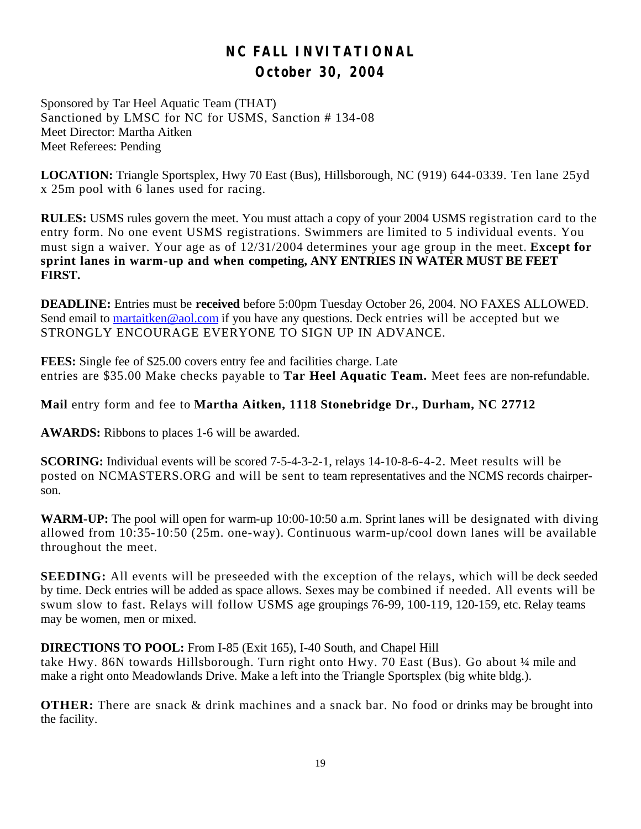# **NC FALL INVITATIONAL October 30, 2004**

Sponsored by Tar Heel Aquatic Team (THAT) Sanctioned by LMSC for NC for USMS, Sanction # 134-08 Meet Director: Martha Aitken Meet Referees: Pending

**LOCATION:** Triangle Sportsplex, Hwy 70 East (Bus), Hillsborough, NC (919) 644-0339. Ten lane 25yd x 25m pool with 6 lanes used for racing.

**RULES:** USMS rules govern the meet. You must attach a copy of your 2004 USMS registration card to the entry form. No one event USMS registrations. Swimmers are limited to 5 individual events. You must sign a waiver. Your age as of 12/31/2004 determines your age group in the meet. **Except for sprint lanes in warm-up and when competing, ANY ENTRIES IN WATER MUST BE FEET FIRST.**

**DEADLINE:** Entries must be **received** before 5:00pm Tuesday October 26, 2004. NO FAXES ALLOWED. Send email to martaitken@aol.com if you have any questions. Deck entries will be accepted but we STRONGLY ENCOURAGE EVERYONE TO SIGN UP IN ADVANCE.

**FEES:** Single fee of \$25.00 covers entry fee and facilities charge. Late entries are \$35.00 Make checks payable to **Tar Heel Aquatic Team.** Meet fees are non-refundable.

**Mail** entry form and fee to **Martha Aitken, 1118 Stonebridge Dr., Durham, NC 27712** 

**AWARDS:** Ribbons to places 1-6 will be awarded.

**SCORING:** Individual events will be scored 7-5-4-3-2-1, relays 14-10-8-6-4-2. Meet results will be posted on NCMASTERS.ORG and will be sent to team representatives and the NCMS records chairperson.

WARM-UP: The pool will open for warm-up 10:00-10:50 a.m. Sprint lanes will be designated with diving allowed from 10:35-10:50 (25m. one-way). Continuous warm-up/cool down lanes will be available throughout the meet.

**SEEDING:** All events will be preseeded with the exception of the relays, which will be deck seeded by time. Deck entries will be added as space allows. Sexes may be combined if needed. All events will be swum slow to fast. Relays will follow USMS age groupings 76-99, 100-119, 120-159, etc. Relay teams may be women, men or mixed.

**DIRECTIONS TO POOL:** From I-85 (Exit 165), I-40 South, and Chapel Hill take Hwy. 86N towards Hillsborough. Turn right onto Hwy. 70 East (Bus). Go about 1/4 mile and

make a right onto Meadowlands Drive. Make a left into the Triangle Sportsplex (big white bldg.).

**OTHER:** There are snack & drink machines and a snack bar. No food or drinks may be brought into the facility.